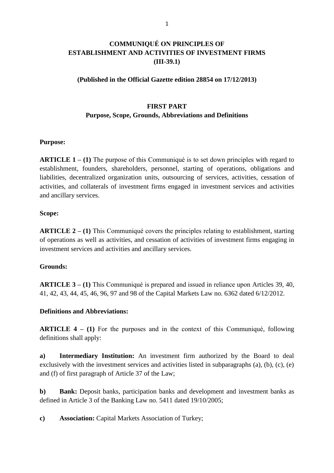# **COMMUNIQUÉ ON PRINCIPLES OF ESTABLISHMENT AND ACTIVITIES OF INVESTMENT FIRMS (III-39.1)**

#### **(Published in the Official Gazette edition 28854 on 17/12/2013)**

#### **FIRST PART**

#### **Purpose, Scope, Grounds, Abbreviations and Definitions**

#### **Purpose:**

**ARTICLE 1 – (1)** The purpose of this Communiqué is to set down principles with regard to establishment, founders, shareholders, personnel, starting of operations, obligations and liabilities, decentralized organization units, outsourcing of services, activities, cessation of activities, and collaterals of investment firms engaged in investment services and activities and ancillary services.

#### **Scope:**

**ARTICLE 2 – (1)** This Communiqué covers the principles relating to establishment, starting of operations as well as activities, and cessation of activities of investment firms engaging in investment services and activities and ancillary services.

#### **Grounds:**

**ARTICLE 3 – (1)** This Communiqué is prepared and issued in reliance upon Articles 39, 40, 41, 42, 43, 44, 45, 46, 96, 97 and 98 of the Capital Markets Law no. 6362 dated 6/12/2012.

#### **Definitions and Abbreviations:**

**ARTICLE 4 – (1)** For the purposes and in the context of this Communiqué, following definitions shall apply:

**a) Intermediary Institution:** An investment firm authorized by the Board to deal exclusively with the investment services and activities listed in subparagraphs (a), (b), (c), (e) and (f) of first paragraph of Article 37 of the Law;

**b) Bank:** Deposit banks, participation banks and development and investment banks as defined in Article 3 of the Banking Law no. 5411 dated 19/10/2005;

**c) Association:** Capital Markets Association of Turkey;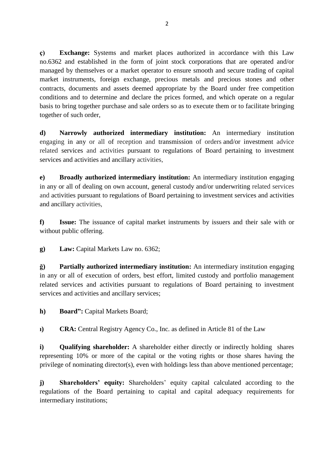**ç) Exchange:** Systems and market places authorized in accordance with this Law no.6362 and established in the form of joint stock corporations that are operated and/or managed by themselves or a market operator to ensure smooth and secure trading of capital market instruments, foreign exchange, precious metals and precious stones and other contracts, documents and assets deemed appropriate by the Board under free competition conditions and to determine and declare the prices formed, and which operate on a regular basis to bring together purchase and sale orders so as to execute them or to facilitate bringing together of such order,

**d) Narrowly authorized intermediary institution:** An intermediary institution engaging in any or all of reception and transmission of orders and/or investment advice related services and activities pursuant to regulations of Board pertaining to investment services and activities and ancillary activities,

**e) Broadly authorized intermediary institution:** An intermediary institution engaging in any or all of dealing on own account, general custody and/or underwriting related services and activities pursuant to regulations of Board pertaining to investment services and activities and ancillary activities,

**f) Issue:** The issuance of capital market instruments by issuers and their sale with or without public offering.

**g) Law:** Capital Markets Law no. 6362;

**ğ) Partially authorized intermediary institution:** An intermediary institution engaging in any or all of execution of orders, best effort, limited custody and portfolio management related services and activities pursuant to regulations of Board pertaining to investment services and activities and ancillary services;

**h) Board":** Capital Markets Board;

**ı) CRA:** Central Registry Agency Co., Inc. as defined in Article 81 of the Law

**i) Qualifying shareholder:** A shareholder either directly or indirectly holding shares representing 10% or more of the capital or the voting rights or those shares having the privilege of nominating director(s), even with holdings less than above mentioned percentage;

**j) Shareholders' equity:** Shareholders' equity capital calculated according to the regulations of the Board pertaining to capital and capital adequacy requirements for intermediary institutions;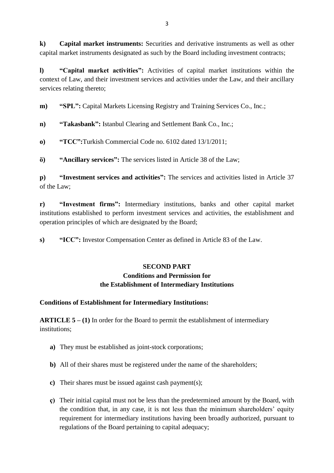**k) Capital market instruments:** Securities and derivative instruments as well as other capital market instruments designated as such by the Board including investment contracts;

**l) "Capital market activities":** Activities of capital market institutions within the context of Law, and their investment services and activities under the Law, and their ancillary services relating thereto;

**m**) **"SPL":** Capital Markets Licensing Registry and Training Services Co., Inc.;

**n) "Takasbank":** Istanbul Clearing and Settlement Bank Co., Inc.;

**o) "TCC":**Turkish Commercial Code no. 6102 dated 13/1/2011;

**ö) "Ancillary services":** The services listed in Article 38 of the Law;

**p) "Investment services and activities":** The services and activities listed in Article 37 of the Law;

**r) "Investment firms":** Intermediary institutions, banks and other capital market institutions established to perform investment services and activities, the establishment and operation principles of which are designated by the Board;

**s) "ICC":** Investor Compensation Center as defined in Article 83 of the Law.

# **SECOND PART Conditions and Permission for the Establishment of Intermediary Institutions**

# **Conditions of Establishment for Intermediary Institutions:**

**ARTICLE 5 – (1)** In order for the Board to permit the establishment of intermediary institutions;

- **a)** They must be established as joint-stock corporations;
- **b)** All of their shares must be registered under the name of the shareholders;
- **c)** Their shares must be issued against cash payment(s);
- **ç)** Their initial capital must not be less than the predetermined amount by the Board, with the condition that, in any case, it is not less than the minimum shareholders' equity requirement for intermediary institutions having been broadly authorized, pursuant to regulations of the Board pertaining to capital adequacy;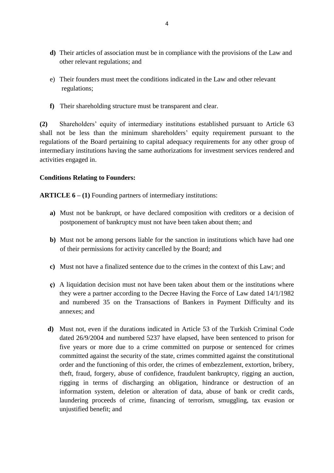- **d)** Their articles of association must be in compliance with the provisions of the Law and other relevant regulations; and
- e) Their founders must meet the conditions indicated in the Law and other relevant regulations;
- **f)** Their shareholding structure must be transparent and clear.

**(2)** Shareholders' equity of intermediary institutions established pursuant to Article 63 shall not be less than the minimum shareholders' equity requirement pursuant to the regulations of the Board pertaining to capital adequacy requirements for any other group of intermediary institutions having the same authorizations for investment services rendered and activities engaged in.

#### **Conditions Relating to Founders:**

**ARTICLE 6 – (1)** Founding partners of intermediary institutions:

- **a)** Must not be bankrupt, or have declared composition with creditors or a decision of postponement of bankruptcy must not have been taken about them; and
- **b)** Must not be among persons liable for the sanction in institutions which have had one of their permissions for activity cancelled by the Board; and
- **c)** Must not have a finalized sentence due to the crimes in the context of this Law; and
- **ç)** A liquidation decision must not have been taken about them or the institutions where they were a partner according to the Decree Having the Force of Law dated 14/1/1982 and numbered 35 on the Transactions of Bankers in Payment Difficulty and its annexes; and
- **d)** Must not, even if the durations indicated in Article 53 of the Turkish Criminal Code dated 26/9/2004 and numbered 5237 have elapsed, have been sentenced to prison for five years or more due to a crime committed on purpose or sentenced for crimes committed against the security of the state, crimes committed against the constitutional order and the functioning of this order, the crimes of embezzlement, extortion, bribery, theft, fraud, forgery, abuse of confidence, fraudulent bankruptcy, rigging an auction, rigging in terms of discharging an obligation, hindrance or destruction of an information system, deletion or alteration of data, abuse of bank or credit cards, laundering proceeds of crime, financing of terrorism, smuggling, tax evasion or unjustified benefit; and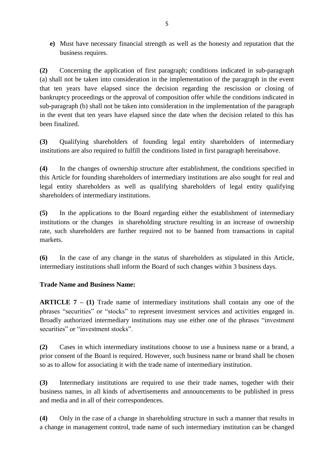**e)** Must have necessary financial strength as well as the honesty and reputation that the business requires.

**(2)** Concerning the application of first paragraph; conditions indicated in sub-paragraph (a) shall not be taken into consideration in the implementation of the paragraph in the event that ten years have elapsed since the decision regarding the rescission or closing of bankruptcy proceedings or the approval of composition offer while the conditions indicated in sub-paragraph (b) shall not be taken into consideration in the implementation of the paragraph in the event that ten years have elapsed since the date when the decision related to this has been finalized.

**(3)** Qualifying shareholders of founding legal entity shareholders of intermediary institutions are also required to fulfill the conditions listed in first paragraph hereinabove.

**(4)** In the changes of ownership structure after establishment, the conditions specified in this Article for founding shareholders of intermediary institutions are also sought for real and legal entity shareholders as well as qualifying shareholders of legal entity qualifying shareholders of intermediary institutions.

**(5)** In the applications to the Board regarding either the establishment of intermediary institutions or the changes in shareholding structure resulting in an increase of ownership rate, such shareholders are further required not to be banned from transactions in capital markets.

**(6)** In the case of any change in the status of shareholders as stipulated in this Article, intermediary institutions shall inform the Board of such changes within 3 business days.

# **Trade Name and Business Name:**

**ARTICLE 7 – (1)** Trade name of intermediary institutions shall contain any one of the phrases "securities" or "stocks" to represent investment services and activities engaged in. Broadly authorized intermediary institutions may use either one of the phrases "investment securities" or "investment stocks".

**(2)** Cases in which intermediary institutions choose to use a business name or a brand, a prior consent of the Board is required. However, such business name or brand shall be chosen so as to allow for associating it with the trade name of intermediary institution.

**(3)** Intermediary institutions are required to use their trade names, together with their business names, in all kinds of advertisements and announcements to be published in press and media and in all of their correspondences.

**(4)** Only in the case of a change in shareholding structure in such a manner that results in a change in management control, trade name of such intermediary institution can be changed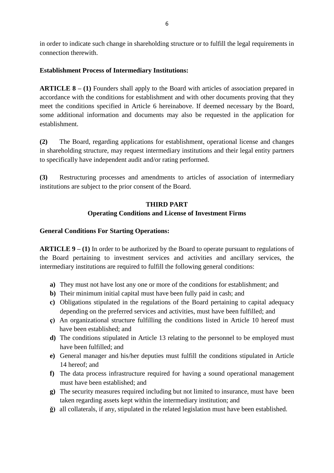in order to indicate such change in shareholding structure or to fulfill the legal requirements in connection therewith.

### **Establishment Process of Intermediary Institutions:**

**ARTICLE 8 – (1)** Founders shall apply to the Board with articles of association prepared in accordance with the conditions for establishment and with other documents proving that they meet the conditions specified in Article 6 hereinabove. If deemed necessary by the Board, some additional information and documents may also be requested in the application for establishment.

**(2)** The Board, regarding applications for establishment, operational license and changes in shareholding structure, may request intermediary institutions and their legal entity partners to specifically have independent audit and/or rating performed.

**(3)** Restructuring processes and amendments to articles of association of intermediary institutions are subject to the prior consent of the Board.

### **THIRD PART**

## **Operating Conditions and License of Investment Firms**

### **General Conditions For Starting Operations:**

**ARTICLE 9 – (1)** In order to be authorized by the Board to operate pursuant to regulations of the Board pertaining to investment services and activities and ancillary services, the intermediary institutions are required to fulfill the following general conditions:

- **a)** They must not have lost any one or more of the conditions for establishment; and
- **b)** Their minimum initial capital must have been fully paid in cash; and
- **c)** Obligations stipulated in the regulations of the Board pertaining to capital adequacy depending on the preferred services and activities, must have been fulfilled; and
- **ç)** An organizational structure fulfilling the conditions listed in Article 10 hereof must have been established; and
- **d)** The conditions stipulated in Article 13 relating to the personnel to be employed must have been fulfilled; and
- **e)** General manager and his/her deputies must fulfill the conditions stipulated in Article 14 hereof; and
- **f)** The data process infrastructure required for having a sound operational management must have been established; and
- **g)** The security measures required including but not limited to insurance, must have been taken regarding assets kept within the intermediary institution; and
- **ğ)** all collaterals, if any, stipulated in the related legislation must have been established.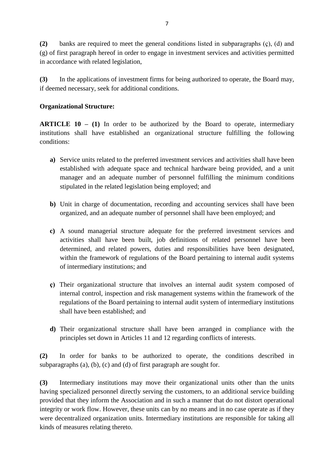**(2)** banks are required to meet the general conditions listed in subparagraphs (ç), (d) and (g) of first paragraph hereof in order to engage in investment services and activities permitted in accordance with related legislation,

**(3)** In the applications of investment firms for being authorized to operate, the Board may, if deemed necessary, seek for additional conditions.

### **Organizational Structure:**

**ARTICLE 10 – (1)** In order to be authorized by the Board to operate, intermediary institutions shall have established an organizational structure fulfilling the following conditions:

- **a)** Service units related to the preferred investment services and activities shall have been established with adequate space and technical hardware being provided, and a unit manager and an adequate number of personnel fulfilling the minimum conditions stipulated in the related legislation being employed; and
- **b**) Unit in charge of documentation, recording and accounting services shall have been organized, and an adequate number of personnel shall have been employed; and
- **c)** A sound managerial structure adequate for the preferred investment services and activities shall have been built, job definitions of related personnel have been determined, and related powers, duties and responsibilities have been designated, within the framework of regulations of the Board pertaining to internal audit systems of intermediary institutions; and
- **ç)** Their organizational structure that involves an internal audit system composed of internal control, inspection and risk management systems within the framework of the regulations of the Board pertaining to internal audit system of intermediary institutions shall have been established; and
- **d)** Their organizational structure shall have been arranged in compliance with the principles set down in Articles 11 and 12 regarding conflicts of interests.

**(2)** In order for banks to be authorized to operate, the conditions described in subparagraphs (a), (b), (c) and (d) of first paragraph are sought for.

**(3)** Intermediary institutions may move their organizational units other than the units having specialized personnel directly serving the customers, to an additional service building provided that they inform the Association and in such a manner that do not distort operational integrity or work flow. However, these units can by no means and in no case operate as if they were decentralized organization units. Intermediary institutions are responsible for taking all kinds of measures relating thereto.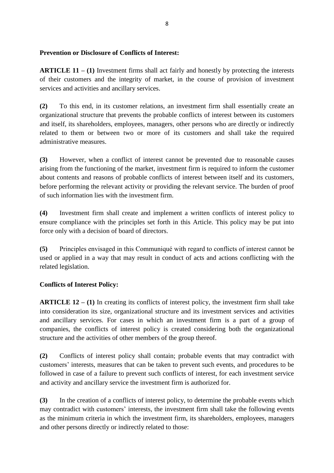### **Prevention or Disclosure of Conflicts of Interest:**

**ARTICLE 11 – (1)** Investment firms shall act fairly and honestly by protecting the interests of their customers and the integrity of market, in the course of provision of investment services and activities and ancillary services.

**(2)** To this end, in its customer relations, an investment firm shall essentially create an organizational structure that prevents the probable conflicts of interest between its customers and itself, its shareholders, employees, managers, other persons who are directly or indirectly related to them or between two or more of its customers and shall take the required administrative measures.

**(3)** However, when a conflict of interest cannot be prevented due to reasonable causes arising from the functioning of the market, investment firm is required to inform the customer about contents and reasons of probable conflicts of interest between itself and its customers, before performing the relevant activity or providing the relevant service. The burden of proof of such information lies with the investment firm.

**(4)** Investment firm shall create and implement a written conflicts of interest policy to ensure compliance with the principles set forth in this Article. This policy may be put into force only with a decision of board of directors.

**(5)** Principles envisaged in this Communiqué with regard to conflicts of interest cannot be used or applied in a way that may result in conduct of acts and actions conflicting with the related legislation.

### **Conflicts of Interest Policy:**

**ARTICLE 12 – (1)** In creating its conflicts of interest policy, the investment firm shall take into consideration its size, organizational structure and its investment services and activities and ancillary services. For cases in which an investment firm is a part of a group of companies, the conflicts of interest policy is created considering both the organizational structure and the activities of other members of the group thereof.

**(2)** Conflicts of interest policy shall contain; probable events that may contradict with customers' interests, measures that can be taken to prevent such events, and procedures to be followed in case of a failure to prevent such conflicts of interest, for each investment service and activity and ancillary service the investment firm is authorized for.

**(3)** In the creation of a conflicts of interest policy, to determine the probable events which may contradict with customers' interests, the investment firm shall take the following events as the minimum criteria in which the investment firm, its shareholders, employees, managers and other persons directly or indirectly related to those: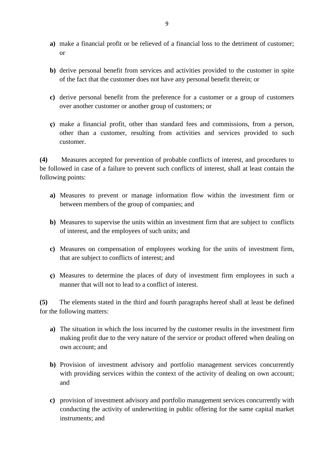- **a)** make a financial profit or be relieved of a financial loss to the detriment of customer; or
- **b)** derive personal benefit from services and activities provided to the customer in spite of the fact that the customer does not have any personal benefit therein; or
- **c)** derive personal benefit from the preference for a customer or a group of customers over another customer or another group of customers; or
- **ç)** make a financial profit, other than standard fees and commissions, from a person, other than a customer, resulting from activities and services provided to such customer.

**(4)** Measures accepted for prevention of probable conflicts of interest, and procedures to be followed in case of a failure to prevent such conflicts of interest, shall at least contain the following points:

- **a)** Measures to prevent or manage information flow within the investment firm or between members of the group of companies; and
- **b)** Measures to supervise the units within an investment firm that are subject to conflicts of interest, and the employees of such units; and
- **c)** Measures on compensation of employees working for the units of investment firm, that are subject to conflicts of interest; and
- **ç)** Measures to determine the places of duty of investment firm employees in such a manner that will not to lead to a conflict of interest.

**(5)** The elements stated in the third and fourth paragraphs hereof shall at least be defined for the following matters:

- **a)** The situation in which the loss incurred by the customer results in the investment firm making profit due to the very nature of the service or product offered when dealing on own account; and
- **b)** Provision of investment advisory and portfolio management services concurrently with providing services within the context of the activity of dealing on own account; and
- **c)** provision of investment advisory and portfolio management services concurrently with conducting the activity of underwriting in public offering for the same capital market instruments; and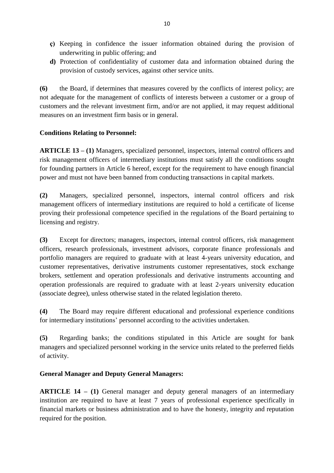- **ç)** Keeping in confidence the issuer information obtained during the provision of underwriting in public offering; and
- **d)** Protection of confidentiality of customer data and information obtained during the provision of custody services, against other service units.

**(6)** the Board, if determines that measures covered by the conflicts of interest policy; are not adequate for the management of conflicts of interests between a customer or a group of customers and the relevant investment firm, and/or are not applied, it may request additional measures on an investment firm basis or in general.

## **Conditions Relating to Personnel:**

**ARTICLE 13 – (1)** Managers, specialized personnel, inspectors, internal control officers and risk management officers of intermediary institutions must satisfy all the conditions sought for founding partners in Article 6 hereof, except for the requirement to have enough financial power and must not have been banned from conducting transactions in capital markets.

**(2)** Managers, specialized personnel, inspectors, internal control officers and risk management officers of intermediary institutions are required to hold a certificate of license proving their professional competence specified in the regulations of the Board pertaining to licensing and registry.

**(3)** Except for directors; managers, inspectors, internal control officers, risk management officers, research professionals, investment advisors, corporate finance professionals and portfolio managers are required to graduate with at least 4-years university education, and customer representatives, derivative instruments customer representatives, stock exchange brokers, settlement and operation professionals and derivative instruments accounting and operation professionals are required to graduate with at least 2-years university education (associate degree), unless otherwise stated in the related legislation thereto.

**(4)** The Board may require different educational and professional experience conditions for intermediary institutions' personnel according to the activities undertaken.

**(5)** Regarding banks; the conditions stipulated in this Article are sought for bank managers and specialized personnel working in the service units related to the preferred fields of activity.

# **General Manager and Deputy General Managers:**

**ARTICLE 14 – (1)** General manager and deputy general managers of an intermediary institution are required to have at least 7 years of professional experience specifically in financial markets or business administration and to have the honesty, integrity and reputation required for the position.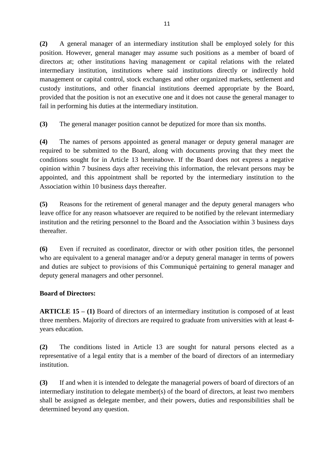**(2)** A general manager of an intermediary institution shall be employed solely for this position. However, general manager may assume such positions as a member of board of directors at; other institutions having management or capital relations with the related intermediary institution, institutions where said institutions directly or indirectly hold management or capital control, stock exchanges and other organized markets, settlement and custody institutions, and other financial institutions deemed appropriate by the Board, provided that the position is not an executive one and it does not cause the general manager to fail in performing his duties at the intermediary institution.

**(3)** The general manager position cannot be deputized for more than six months.

**(4)** The names of persons appointed as general manager or deputy general manager are required to be submitted to the Board, along with documents proving that they meet the conditions sought for in Article 13 hereinabove. If the Board does not express a negative opinion within 7 business days after receiving this information, the relevant persons may be appointed, and this appointment shall be reported by the intermediary institution to the Association within 10 business days thereafter.

**(5)** Reasons for the retirement of general manager and the deputy general managers who leave office for any reason whatsoever are required to be notified by the relevant intermediary institution and the retiring personnel to the Board and the Association within 3 business days thereafter.

**(6)** Even if recruited as coordinator, director or with other position titles, the personnel who are equivalent to a general manager and/or a deputy general manager in terms of powers and duties are subject to provisions of this Communiqué pertaining to general manager and deputy general managers and other personnel.

# **Board of Directors:**

**ARTICLE 15 – (1)** Board of directors of an intermediary institution is composed of at least three members. Majority of directors are required to graduate from universities with at least 4 years education.

**(2)** The conditions listed in Article 13 are sought for natural persons elected as a representative of a legal entity that is a member of the board of directors of an intermediary institution.

**(3)** If and when it is intended to delegate the managerial powers of board of directors of an intermediary institution to delegate member(s) of the board of directors, at least two members shall be assigned as delegate member, and their powers, duties and responsibilities shall be determined beyond any question.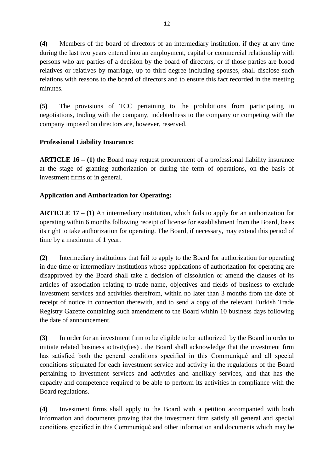**(4)** Members of the board of directors of an intermediary institution, if they at any time during the last two years entered into an employment, capital or commercial relationship with persons who are parties of a decision by the board of directors, or if those parties are blood relatives or relatives by marriage, up to third degree including spouses, shall disclose such relations with reasons to the board of directors and to ensure this fact recorded in the meeting minutes.

**(5)** The provisions of TCC pertaining to the prohibitions from participating in negotiations, trading with the company, indebtedness to the company or competing with the company imposed on directors are, however, reserved.

## **Professional Liability Insurance:**

**ARTICLE 16 – (1)** the Board may request procurement of a professional liability insurance at the stage of granting authorization or during the term of operations, on the basis of investment firms or in general.

## **Application and Authorization for Operating:**

**ARTICLE 17 – (1)** An intermediary institution, which fails to apply for an authorization for operating within 6 months following receipt of license for establishment from the Board, loses its right to take authorization for operating. The Board, if necessary, may extend this period of time by a maximum of 1 year.

**(2)** Intermediary institutions that fail to apply to the Board for authorization for operating in due time or intermediary institutions whose applications of authorization for operating are disapproved by the Board shall take a decision of dissolution or amend the clauses of its articles of association relating to trade name, objectives and fields of business to exclude investment services and activities therefrom, within no later than 3 months from the date of receipt of notice in connection therewith, and to send a copy of the relevant Turkish Trade Registry Gazette containing such amendment to the Board within 10 business days following the date of announcement.

**(3)** In order for an investment firm to be eligible to be authorized by the Board in order to initiate related business activity(ies) , the Board shall acknowledge that the investment firm has satisfied both the general conditions specified in this Communiqué and all special conditions stipulated for each investment service and activity in the regulations of the Board pertaining to investment services and activities and ancillary services, and that has the capacity and competence required to be able to perform its activities in compliance with the Board regulations.

**(4)** Investment firms shall apply to the Board with a petition accompanied with both information and documents proving that the investment firm satisfy all general and special conditions specified in this Communiqué and other information and documents which may be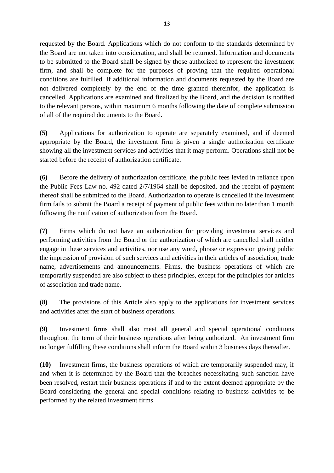requested by the Board. Applications which do not conform to the standards determined by the Board are not taken into consideration, and shall be returned. Information and documents to be submitted to the Board shall be signed by those authorized to represent the investment firm, and shall be complete for the purposes of proving that the required operational conditions are fulfilled. If additional information and documents requested by the Board are not delivered completely by the end of the time granted thereinfor, the application is cancelled. Applications are examined and finalized by the Board, and the decision is notified to the relevant persons, within maximum 6 months following the date of complete submission of all of the required documents to the Board.

**(5)** Applications for authorization to operate are separately examined, and if deemed appropriate by the Board, the investment firm is given a single authorization certificate showing all the investment services and activities that it may perform. Operations shall not be started before the receipt of authorization certificate.

**(6)** Before the delivery of authorization certificate, the public fees levied in reliance upon the Public Fees Law no. 492 dated 2/7/1964 shall be deposited, and the receipt of payment thereof shall be submitted to the Board. Authorization to operate is cancelled if the investment firm fails to submit the Board a receipt of payment of public fees within no later than 1 month following the notification of authorization from the Board.

**(7)** Firms which do not have an authorization for providing investment services and performing activities from the Board or the authorization of which are cancelled shall neither engage in these services and activities, nor use any word, phrase or expression giving public the impression of provision of such services and activities in their articles of association, trade name, advertisements and announcements. Firms, the business operations of which are temporarily suspended are also subject to these principles, except for the principles for articles of association and trade name.

**(8)** The provisions of this Article also apply to the applications for investment services and activities after the start of business operations.

**(9)** Investment firms shall also meet all general and special operational conditions throughout the term of their business operations after being authorized. An investment firm no longer fulfilling these conditions shall inform the Board within 3 business days thereafter.

**(10)** Investment firms, the business operations of which are temporarily suspended may, if and when it is determined by the Board that the breaches necessitating such sanction have been resolved, restart their business operations if and to the extent deemed appropriate by the Board considering the general and special conditions relating to business activities to be performed by the related investment firms.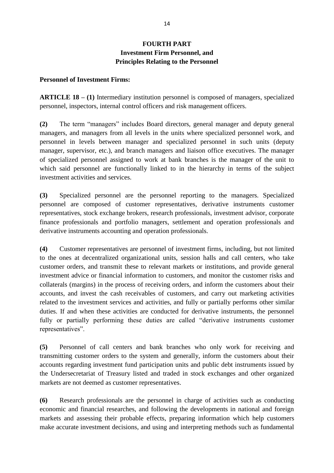# **FOURTH PART Investment Firm Personnel, and Principles Relating to the Personnel**

#### **Personnel of Investment Firms:**

**ARTICLE 18 – (1)** Intermediary institution personnel is composed of managers, specialized personnel, inspectors, internal control officers and risk management officers.

**(2)** The term "managers" includes Board directors, general manager and deputy general managers, and managers from all levels in the units where specialized personnel work, and personnel in levels between manager and specialized personnel in such units (deputy manager, supervisor, etc.), and branch managers and liaison office executives. The manager of specialized personnel assigned to work at bank branches is the manager of the unit to which said personnel are functionally linked to in the hierarchy in terms of the subject investment activities and services.

**(3)** Specialized personnel are the personnel reporting to the managers. Specialized personnel are composed of customer representatives, derivative instruments customer representatives, stock exchange brokers, research professionals, investment advisor, corporate finance professionals and portfolio managers, settlement and operation professionals and derivative instruments accounting and operation professionals.

**(4)** Customer representatives are personnel of investment firms, including, but not limited to the ones at decentralized organizational units, session halls and call centers, who take customer orders, and transmit these to relevant markets or institutions, and provide general investment advice or financial information to customers, and monitor the customer risks and collaterals (margins) in the process of receiving orders, and inform the customers about their accounts, and invest the cash receivables of customers, and carry out marketing activities related to the investment services and activities, and fully or partially performs other similar duties. If and when these activities are conducted for derivative instruments, the personnel fully or partially performing these duties are called "derivative instruments customer representatives".

**(5)** Personnel of call centers and bank branches who only work for receiving and transmitting customer orders to the system and generally, inform the customers about their accounts regarding investment fund participation units and public debt instruments issued by the Undersecretariat of Treasury listed and traded in stock exchanges and other organized markets are not deemed as customer representatives.

**(6)** Research professionals are the personnel in charge of activities such as conducting economic and financial researches, and following the developments in national and foreign markets and assessing their probable effects, preparing information which help customers make accurate investment decisions, and using and interpreting methods such as fundamental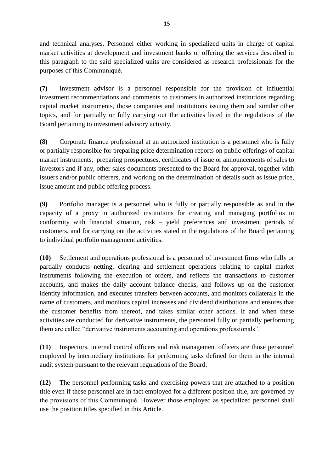and technical analyses. Personnel either working in specialized units in charge of capital market activities at development and investment banks or offering the services described in this paragraph to the said specialized units are considered as research professionals for the purposes of this Communiqué.

**(7)** Investment advisor is a personnel responsible for the provision of influential investment recommendations and comments to customers in authorized institutions regarding capital market instruments, those companies and institutions issuing them and similar other topics, and for partially or fully carrying out the activities listed in the regulations of the Board pertaining to investment advisory activity.

**(8)** Corporate finance professional at an authorized institution is a personnel who is fully or partially responsible for preparing price determination reports on public offerings of capital market instruments, preparing prospectuses, certificates of issue or announcements of sales to investors and if any, other sales documents presented to the Board for approval, together with issuers and/or public offerers, and working on the determination of details such as issue price, issue amount and public offering process.

**(9)** Portfolio manager is a personnel who is fully or partially responsible as and in the capacity of a proxy in authorized institutions for creating and managing portfolios in conformity with financial situation, risk – yield preferences and investment periods of customers, and for carrying out the activities stated in the regulations of the Board pertaining to individual portfolio management activities.

**(10)** Settlement and operations professional is a personnel of investment firms who fully or partially conducts netting, clearing and settlement operations relating to capital market instruments following the execution of orders, and reflects the transactions to customer accounts, and makes the daily account balance checks, and follows up on the customer identity information, and executes transfers between accounts, and monitors collaterals in the name of customers, and monitors capital increases and dividend distributions and ensures that the customer benefits from thereof, and takes similar other actions. If and when these activities are conducted for derivative instruments, the personnel fully or partially performing them are called "derivative instruments accounting and operations professionals".

**(11)** Inspectors, internal control officers and risk management officers are those personnel employed by intermediary institutions for performing tasks defined for them in the internal audit system pursuant to the relevant regulations of the Board.

**(12)** The personnel performing tasks and exercising powers that are attached to a position title even if these personnel are in fact employed for a different position title, are governed by the provisions of this Communiqué. However those employed as specialized personnel shall use the position titles specified in this Article.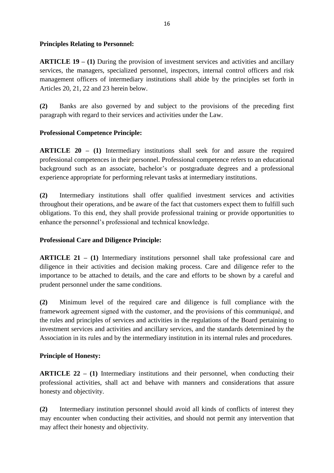### **Principles Relating to Personnel:**

**ARTICLE 19 – (1)** During the provision of investment services and activities and ancillary services, the managers, specialized personnel, inspectors, internal control officers and risk management officers of intermediary institutions shall abide by the principles set forth in Articles 20, 21, 22 and 23 herein below.

**(2)** Banks are also governed by and subject to the provisions of the preceding first paragraph with regard to their services and activities under the Law.

# **Professional Competence Principle:**

**ARTICLE 20 – (1)** Intermediary institutions shall seek for and assure the required professional competences in their personnel. Professional competence refers to an educational background such as an associate, bachelor's or postgraduate degrees and a professional experience appropriate for performing relevant tasks at intermediary institutions.

**(2)** Intermediary institutions shall offer qualified investment services and activities throughout their operations, and be aware of the fact that customers expect them to fulfill such obligations. To this end, they shall provide professional training or provide opportunities to enhance the personnel's professional and technical knowledge.

### **Professional Care and Diligence Principle:**

**ARTICLE 21 – (1)** Intermediary institutions personnel shall take professional care and diligence in their activities and decision making process. Care and diligence refer to the importance to be attached to details, and the care and efforts to be shown by a careful and prudent personnel under the same conditions.

**(2)** Minimum level of the required care and diligence is full compliance with the framework agreement signed with the customer, and the provisions of this communiqué, and the rules and principles of services and activities in the regulations of the Board pertaining to investment services and activities and ancillary services, and the standards determined by the Association in its rules and by the intermediary institution in its internal rules and procedures.

### **Principle of Honesty:**

**ARTICLE 22 – (1)** Intermediary institutions and their personnel, when conducting their professional activities, shall act and behave with manners and considerations that assure honesty and objectivity.

**(2)** Intermediary institution personnel should avoid all kinds of conflicts of interest they may encounter when conducting their activities, and should not permit any intervention that may affect their honesty and objectivity.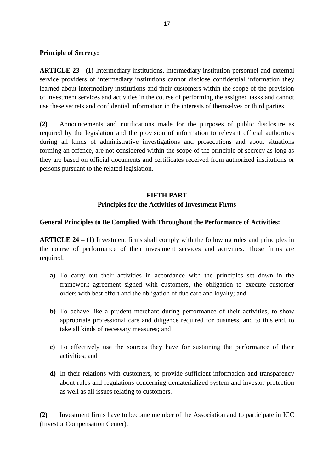#### **Principle of Secrecy:**

**ARTICLE 23 - (1)** Intermediary institutions, intermediary institution personnel and external service providers of intermediary institutions cannot disclose confidential information they learned about intermediary institutions and their customers within the scope of the provision of investment services and activities in the course of performing the assigned tasks and cannot use these secrets and confidential information in the interests of themselves or third parties.

**(2)** Announcements and notifications made for the purposes of public disclosure as required by the legislation and the provision of information to relevant official authorities during all kinds of administrative investigations and prosecutions and about situations forming an offence, are not considered within the scope of the principle of secrecy as long as they are based on official documents and certificates received from authorized institutions or persons pursuant to the related legislation.

# **FIFTH PART Principles for the Activities of Investment Firms**

#### **General Principles to Be Complied With Throughout the Performance of Activities:**

**ARTICLE 24 – (1)** Investment firms shall comply with the following rules and principles in the course of performance of their investment services and activities. These firms are required:

- **a)** To carry out their activities in accordance with the principles set down in the framework agreement signed with customers, the obligation to execute customer orders with best effort and the obligation of due care and loyalty; and
- **b)** To behave like a prudent merchant during performance of their activities, to show appropriate professional care and diligence required for business, and to this end, to take all kinds of necessary measures; and
- **c)** To effectively use the sources they have for sustaining the performance of their activities; and
- **d)** In their relations with customers, to provide sufficient information and transparency about rules and regulations concerning dematerialized system and investor protection as well as all issues relating to customers.

**(2)** Investment firms have to become member of the Association and to participate in ICC (Investor Compensation Center).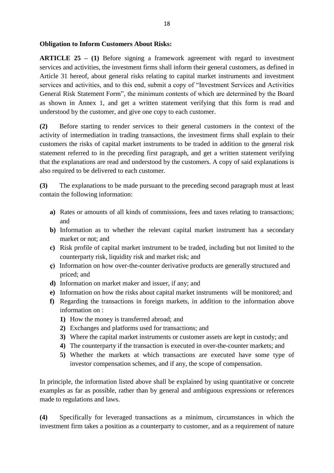#### **Obligation to Inform Customers About Risks:**

**ARTICLE 25 – (1)** Before signing a framework agreement with regard to investment services and activities, the investment firms shall inform their general customers, as defined in Article 31 hereof, about general risks relating to capital market instruments and investment services and activities, and to this end, submit a copy of "Investment Services and Activities General Risk Statement Form", the minimum contents of which are determined by the Board as shown in Annex 1, and get a written statement verifying that this form is read and understood by the customer, and give one copy to each customer.

**(2)** Before starting to render services to their general customers in the context of the activity of intermediation in trading transactions, the investment firms shall explain to their customers the risks of capital market instruments to be traded in addition to the general risk statement referred to in the preceding first paragraph, and get a written statement verifying that the explanations are read and understood by the customers. A copy of said explanations is also required to be delivered to each customer.

**(3)** The explanations to be made pursuant to the preceding second paragraph must at least contain the following information:

- **a)** Rates or amounts of all kinds of commissions, fees and taxes relating to transactions; and
- **b)** Information as to whether the relevant capital market instrument has a secondary market or not; and
- **c)** Risk profile of capital market instrument to be traded, including but not limited to the counterparty risk, liquidity risk and market risk; and
- **ç)** Information on how over-the-counter derivative products are generally structured and priced; and
- **d)** Information on market maker and issuer, if any; and
- **e)** Information on how the risks about capital market instruments will be monitored; and
- **f)** Regarding the transactions in foreign markets, in addition to the information above information on :
	- **1)** How the money is transferred abroad; and
	- **2)** Exchanges and platforms used for transactions; and
	- **3)** Where the capital market instruments or customer assets are kept in custody; and
	- **4)** The counterparty if the transaction is executed in over-the-counter markets; and
	- **5)** Whether the markets at which transactions are executed have some type of investor compensation schemes, and if any, the scope of compensation.

In principle, the information listed above shall be explained by using quantitative or concrete examples as far as possible, rather than by general and ambiguous expressions or references made to regulations and laws.

**(4)** Specifically for leveraged transactions as a minimum, circumstances in which the investment firm takes a position as a counterparty to customer, and as a requirement of nature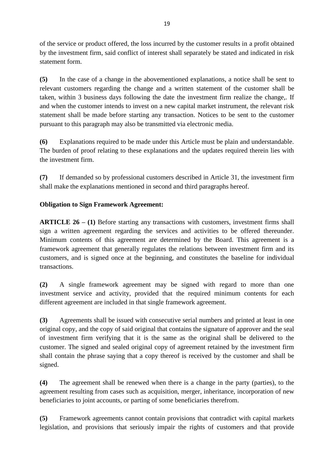of the service or product offered, the loss incurred by the customer results in a profit obtained by the investment firm, said conflict of interest shall separately be stated and indicated in risk statement form.

**(5)** In the case of a change in the abovementioned explanations, a notice shall be sent to relevant customers regarding the change and a written statement of the customer shall be taken, within 3 business days following the date the investment firm realize the change,. If and when the customer intends to invest on a new capital market instrument, the relevant risk statement shall be made before starting any transaction. Notices to be sent to the customer pursuant to this paragraph may also be transmitted via electronic media.

**(6)** Explanations required to be made under this Article must be plain and understandable. The burden of proof relating to these explanations and the updates required therein lies with the investment firm.

**(7)** If demanded so by professional customers described in Article 31, the investment firm shall make the explanations mentioned in second and third paragraphs hereof.

# **Obligation to Sign Framework Agreement:**

**ARTICLE 26 – (1)** Before starting any transactions with customers, investment firms shall sign a written agreement regarding the services and activities to be offered thereunder. Minimum contents of this agreement are determined by the Board. This agreement is a framework agreement that generally regulates the relations between investment firm and its customers, and is signed once at the beginning, and constitutes the baseline for individual transactions.

**(2)** A single framework agreement may be signed with regard to more than one investment service and activity, provided that the required minimum contents for each different agreement are included in that single framework agreement.

**(3)** Agreements shall be issued with consecutive serial numbers and printed at least in one original copy, and the copy of said original that contains the signature of approver and the seal of investment firm verifying that it is the same as the original shall be delivered to the customer. The signed and sealed original copy of agreement retained by the investment firm shall contain the phrase saying that a copy thereof is received by the customer and shall be signed.

**(4)** The agreement shall be renewed when there is a change in the party (parties), to the agreement resulting from cases such as acquisition, merger, inheritance, incorporation of new beneficiaries to joint accounts, or parting of some beneficiaries therefrom.

**(5)** Framework agreements cannot contain provisions that contradict with capital markets legislation, and provisions that seriously impair the rights of customers and that provide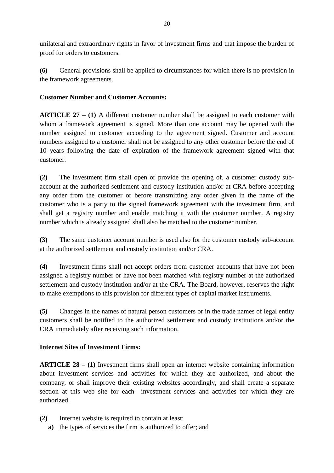unilateral and extraordinary rights in favor of investment firms and that impose the burden of proof for orders to customers.

**(6)** General provisions shall be applied to circumstances for which there is no provision in the framework agreements.

## **Customer Number and Customer Accounts:**

**ARTICLE 27 – (1)** A different customer number shall be assigned to each customer with whom a framework agreement is signed. More than one account may be opened with the number assigned to customer according to the agreement signed. Customer and account numbers assigned to a customer shall not be assigned to any other customer before the end of 10 years following the date of expiration of the framework agreement signed with that customer.

**(2)** The investment firm shall open or provide the opening of, a customer custody subaccount at the authorized settlement and custody institution and/or at CRA before accepting any order from the customer or before transmitting any order given in the name of the customer who is a party to the signed framework agreement with the investment firm, and shall get a registry number and enable matching it with the customer number. A registry number which is already assigned shall also be matched to the customer number.

**(3)** The same customer account number is used also for the customer custody sub-account at the authorized settlement and custody institution and/or CRA.

**(4)** Investment firms shall not accept orders from customer accounts that have not been assigned a registry number or have not been matched with registry number at the authorized settlement and custody institution and/or at the CRA. The Board, however, reserves the right to make exemptions to this provision for different types of capital market instruments.

**(5)** Changes in the names of natural person customers or in the trade names of legal entity customers shall be notified to the authorized settlement and custody institutions and/or the CRA immediately after receiving such information.

### **Internet Sites of Investment Firms:**

**ARTICLE 28 – (1)** Investment firms shall open an internet website containing information about investment services and activities for which they are authorized, and about the company, or shall improve their existing websites accordingly, and shall create a separate section at this web site for each investment services and activities for which they are authorized.

- **(2)** Internet website is required to contain at least:
	- **a)** the types of services the firm is authorized to offer; and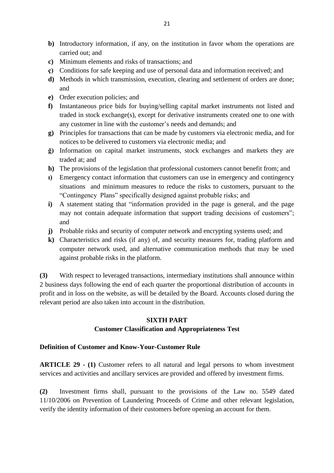- **b)** Introductory information, if any, on the institution in favor whom the operations are carried out; and
- **c)** Minimum elements and risks of transactions; and
- **ç)** Conditions for safe keeping and use of personal data and information received; and
- **d)** Methods in which transmission, execution, clearing and settlement of orders are done; and
- **e)** Order execution policies; and
- **f)** Instantaneous price bids for buying/selling capital market instruments not listed and traded in stock exchange(s), except for derivative instruments created one to one with any customer in line with the customer's needs and demands; and
- **g)** Principles for transactions that can be made by customers via electronic media, and for notices to be delivered to customers via electronic media; and
- **ğ)** Information on capital market instruments, stock exchanges and markets they are traded at; and
- **h)** The provisions of the legislation that professional customers cannot benefit from; and
- **ı)** Emergency contact information that customers can use in emergency and contingency situations and minimum measures to reduce the risks to customers, pursuant to the "Contingency Plans" specifically designed against probable risks; and
- **i**) A statement stating that "information provided in the page is general, and the page may not contain adequate information that support trading decisions of customers": and
- **j)** Probable risks and security of computer network and encrypting systems used; and
- **k)** Characteristics and risks (if any) of, and security measures for, trading platform and computer network used, and alternative communication methods that may be used against probable risks in the platform.

**(3)** With respect to leveraged transactions, intermediary institutions shall announce within 2 business days following the end of each quarter the proportional distribution of accounts in profit and in loss on the website, as will be detailed by the Board. Accounts closed during the relevant period are also taken into account in the distribution.

### **SIXTH PART**

### **Customer Classification and Appropriateness Test**

### **Definition of Customer and Know-Your-Customer Rule**

**ARTICLE 29 - (1)** Customer refers to all natural and legal persons to whom investment services and activities and ancillary services are provided and offered by investment firms.

**(2)** Investment firms shall, pursuant to the provisions of the Law no. 5549 dated 11/10/2006 on Prevention of Laundering Proceeds of Crime and other relevant legislation, verify the identity information of their customers before opening an account for them.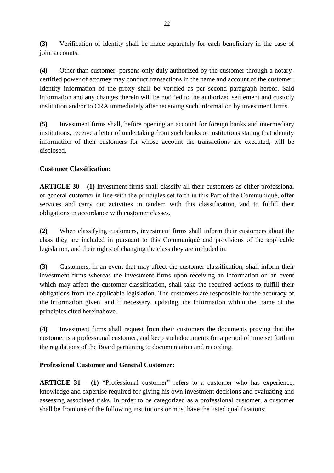**(3)** Verification of identity shall be made separately for each beneficiary in the case of joint accounts.

**(4)** Other than customer, persons only duly authorized by the customer through a notarycertified power of attorney may conduct transactions in the name and account of the customer. Identity information of the proxy shall be verified as per second paragraph hereof. Said information and any changes therein will be notified to the authorized settlement and custody institution and/or to CRA immediately after receiving such information by investment firms.

**(5)** Investment firms shall, before opening an account for foreign banks and intermediary institutions, receive a letter of undertaking from such banks or institutions stating that identity information of their customers for whose account the transactions are executed, will be disclosed.

# **Customer Classification:**

**ARTICLE 30 – (1)** Investment firms shall classify all their customers as either professional or general customer in line with the principles set forth in this Part of the Communiqué, offer services and carry out activities in tandem with this classification, and to fulfill their obligations in accordance with customer classes.

**(2)** When classifying customers, investment firms shall inform their customers about the class they are included in pursuant to this Communiqué and provisions of the applicable legislation, and their rights of changing the class they are included in.

**(3)** Customers, in an event that may affect the customer classification, shall inform their investment firms whereas the investment firms upon receiving an information on an event which may affect the customer classification, shall take the required actions to fulfill their obligations from the applicable legislation. The customers are responsible for the accuracy of the information given, and if necessary, updating, the information within the frame of the principles cited hereinabove.

**(4)** Investment firms shall request from their customers the documents proving that the customer is a professional customer, and keep such documents for a period of time set forth in the regulations of the Board pertaining to documentation and recording.

### **Professional Customer and General Customer:**

**ARTICLE 31 – (1) "Professional customer" refers to a customer who has experience,** knowledge and expertise required for giving his own investment decisions and evaluating and assessing associated risks. In order to be categorized as a professional customer, a customer shall be from one of the following institutions or must have the listed qualifications: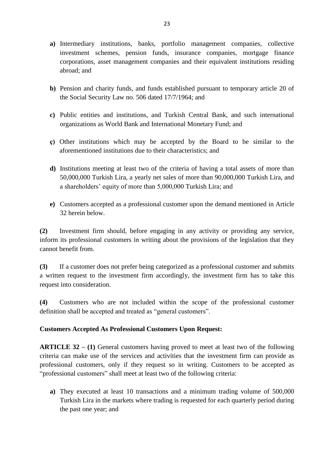- **a)** Intermediary institutions, banks, portfolio management companies, collective investment schemes, pension funds, insurance companies, mortgage finance corporations, asset management companies and their equivalent institutions residing abroad; and
- **b)** Pension and charity funds, and funds established pursuant to temporary article 20 of the Social Security Law no. 506 dated 17/7/1964; and
- **c)** Public entities and institutions, and Turkish Central Bank, and such international organizations as World Bank and International Monetary Fund; and
- **ç)** Other institutions which may be accepted by the Board to be similar to the aforementioned institutions due to their characteristics; and
- **d)** Institutions meeting at least two of the criteria of having a total assets of more than 50,000,000 Turkish Lira, a yearly net sales of more than 90,000,000 Turkish Lira, and a shareholders' equity of more than 5,000,000 Turkish Lira; and
- **e)** Customers accepted as a professional customer upon the demand mentioned in Article 32 herein below.

**(2)** Investment firm should, before engaging in any activity or providing any service, inform its professional customers in writing about the provisions of the legislation that they cannot benefit from.

**(3)** If a customer does not prefer being categorized as a professional customer and submits a written request to the investment firm accordingly, the investment firm has to take this request into consideration.

**(4)** Customers who are not included within the scope of the professional customer definition shall be accepted and treated as "general customers".

### **Customers Accepted As Professional Customers Upon Request:**

**ARTICLE 32 – (1)** General customers having proved to meet at least two of the following criteria can make use of the services and activities that the investment firm can provide as professional customers, only if they request so in writing. Customers to be accepted as "professional customers" shall meet at least two of the following criteria:

**a)** They executed at least 10 transactions and a minimum trading volume of 500,000 Turkish Lira in the markets where trading is requested for each quarterly period during the past one year; and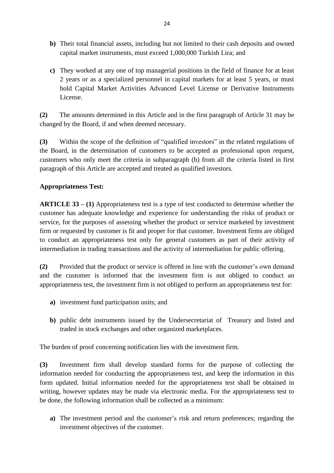- **b)** Their total financial assets, including but not limited to their cash deposits and owned capital market instruments, must exceed 1,000,000 Turkish Lira; and
- **c)** They worked at any one of top managerial positions in the field of finance for at least 2 years or as a specialized personnel in capital markets for at least 5 years, or must hold Capital Market Activities Advanced Level License or Derivative Instruments License.

**(2)** The amounts determined in this Article and in the first paragraph of Article 31 may be changed by the Board, if and when deemed necessary.

**(3)** Within the scope of the definition of "qualified investors" in the related regulations of the Board, in the determination of customers to be accepted as professional upon request, customers who only meet the criteria in subparagraph (b) from all the criteria listed in first paragraph of this Article are accepted and treated as qualified investors.

## **Appropriateness Test:**

**ARTICLE 33 – (1)** Appropriateness test is a type of test conducted to determine whether the customer has adequate knowledge and experience for understanding the risks of product or service, for the purposes of assessing whether the product or service marketed by investment firm or requested by customer is fit and proper for that customer. Investment firms are obliged to conduct an appropriateness test only for general customers as part of their activity of intermediation in trading transactions and the activity of intermediation for public offering.

**(2)** Provided that the product or service is offered in line with the customer's own demand and the customer is informed that the investment firm is not obliged to conduct an appropriateness test, the investment firm is not obliged to perform an appropriateness test for:

- **a)** investment fund participation units; and
- **b)** public debt instruments issued by the Undersecretariat of Treasury and listed and traded in stock exchanges and other organized marketplaces.

The burden of proof concerning notification lies with the investment firm.

**(3)** Investment firm shall develop standard forms for the purpose of collecting the information needed for conducting the appropriateness test, and keep the information in this form updated. Initial information needed for the appropriateness test shall be obtained in writing, however updates may be made via electronic media. For the appropriateness test to be done, the following information shall be collected as a minimum:

**a)** The investment period and the customer's risk and return preferences; regarding the investment objectives of the customer.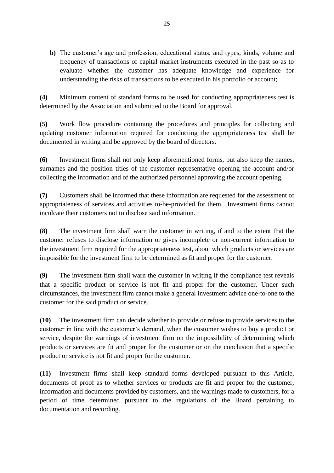**b)** The customer's age and profession, educational status, and types, kinds, volume and frequency of transactions of capital market instruments executed in the past so as to evaluate whether the customer has adequate knowledge and experience for understanding the risks of transactions to be executed in his portfolio or account;

**(4)** Minimum content of standard forms to be used for conducting appropriateness test is determined by the Association and submitted to the Board for approval.

**(5)** Work flow procedure containing the procedures and principles for collecting and updating customer information required for conducting the appropriateness test shall be documented in writing and be approved by the board of directors.

**(6)** Investment firms shall not only keep aforementioned forms, but also keep the names, surnames and the position titles of the customer representative opening the account and/or collecting the information and of the authorized personnel approving the account opening.

**(7)** Customers shall be informed that these information are requested for the assessment of appropriateness of services and activities to-be-provided for them. Investment firms cannot inculcate their customers not to disclose said information.

**(8)** The investment firm shall warn the customer in writing, if and to the extent that the customer refuses to disclose information or gives incomplete or non-current information to the investment firm required for the appropriateness test, about which products or services are impossible for the investment firm to be determined as fit and proper for the customer.

**(9)** The investment firm shall warn the customer in writing if the compliance test reveals that a specific product or service is not fit and proper for the customer. Under such circumstances, the investment firm cannot make a general investment advice one-to-one to the customer for the said product or service.

**(10)** The investment firm can decide whether to provide or refuse to provide services to the customer in line with the customer's demand, when the customer wishes to buy a product or service, despite the warnings of investment firm on the impossibility of determining which products or services are fit and proper for the customer or on the conclusion that a specific product or service is not fit and proper for the customer.

**(11)** Investment firms shall keep standard forms developed pursuant to this Article, documents of proof as to whether services or products are fit and proper for the customer, information and documents provided by customers, and the warnings made to customers, for a period of time determined pursuant to the regulations of the Board pertaining to documentation and recording.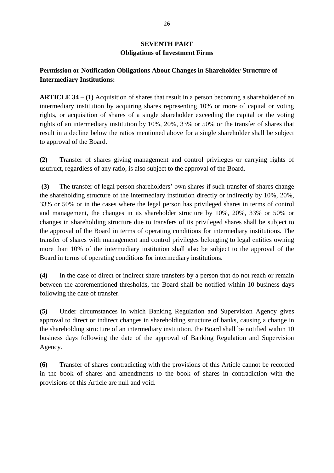# **SEVENTH PART Obligations of Investment Firms**

# **Permission or Notification Obligations About Changes in Shareholder Structure of Intermediary Institutions:**

**ARTICLE 34 – (1)** Acquisition of shares that result in a person becoming a shareholder of an intermediary institution by acquiring shares representing 10% or more of capital or voting rights, or acquisition of shares of a single shareholder exceeding the capital or the voting rights of an intermediary institution by 10%, 20%, 33% or 50% or the transfer of shares that result in a decline below the ratios mentioned above for a single shareholder shall be subject to approval of the Board.

**(2)** Transfer of shares giving management and control privileges or carrying rights of usufruct, regardless of any ratio, is also subject to the approval of the Board.

**(3)** The transfer of legal person shareholders' own shares if such transfer of shares change the shareholding structure of the intermediary institution directly or indirectly by 10%, 20%, 33% or 50% or in the cases where the legal person has privileged shares in terms of control and management, the changes in its shareholder structure by 10%, 20%, 33% or 50% or changes in shareholding structure due to transfers of its privileged shares shall be subject to the approval of the Board in terms of operating conditions for intermediary institutions. The transfer of shares with management and control privileges belonging to legal entities owning more than 10% of the intermediary institution shall also be subject to the approval of the Board in terms of operating conditions for intermediary institutions.

**(4)** In the case of direct or indirect share transfers by a person that do not reach or remain between the aforementioned thresholds, the Board shall be notified within 10 business days following the date of transfer.

**(5)** Under circumstances in which Banking Regulation and Supervision Agency gives approval to direct or indirect changes in shareholding structure of banks, causing a change in the shareholding structure of an intermediary institution, the Board shall be notified within 10 business days following the date of the approval of Banking Regulation and Supervision Agency.

**(6)** Transfer of shares contradicting with the provisions of this Article cannot be recorded in the book of shares and amendments to the book of shares in contradiction with the provisions of this Article are null and void.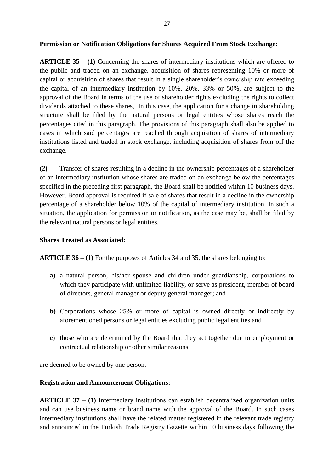#### **Permission or Notification Obligations for Shares Acquired From Stock Exchange:**

**ARTICLE 35 – (1)** Concerning the shares of intermediary institutions which are offered to the public and traded on an exchange, acquisition of shares representing 10% or more of capital or acquisition of shares that result in a single shareholder's ownership rate exceeding the capital of an intermediary institution by 10%, 20%, 33% or 50%, are subject to the approval of the Board in terms of the use of shareholder rights excluding the rights to collect dividends attached to these shares,. In this case, the application for a change in shareholding structure shall be filed by the natural persons or legal entities whose shares reach the percentages cited in this paragraph. The provisions of this paragraph shall also be applied to cases in which said percentages are reached through acquisition of shares of intermediary institutions listed and traded in stock exchange, including acquisition of shares from off the exchange.

**(2)** Transfer of shares resulting in a decline in the ownership percentages of a shareholder of an intermediary institution whose shares are traded on an exchange below the percentages specified in the preceding first paragraph, the Board shall be notified within 10 business days. However, Board approval is required if sale of shares that result in a decline in the ownership percentage of a shareholder below 10% of the capital of intermediary institution. In such a situation, the application for permission or notification, as the case may be, shall be filed by the relevant natural persons or legal entities.

#### **Shares Treated as Associated:**

**ARTICLE 36 – (1)** For the purposes of Articles 34 and 35, the shares belonging to:

- **a)** a natural person, his/her spouse and children under guardianship, corporations to which they participate with unlimited liability, or serve as president, member of board of directors, general manager or deputy general manager; and
- **b)** Corporations whose 25% or more of capital is owned directly or indirectly by aforementioned persons or legal entities excluding public legal entities and
- **c)** those who are determined by the Board that they act together due to employment or contractual relationship or other similar reasons

are deemed to be owned by one person.

#### **Registration and Announcement Obligations:**

**ARTICLE 37 – (1)** Intermediary institutions can establish decentralized organization units and can use business name or brand name with the approval of the Board. In such cases intermediary institutions shall have the related matter registered in the relevant trade registry and announced in the Turkish Trade Registry Gazette within 10 business days following the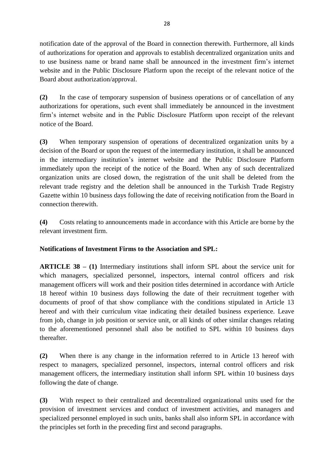notification date of the approval of the Board in connection therewith. Furthermore, all kinds of authorizations for operation and approvals to establish decentralized organization units and to use business name or brand name shall be announced in the investment firm's internet website and in the Public Disclosure Platform upon the receipt of the relevant notice of the Board about authorization/approval.

**(2)** In the case of temporary suspension of business operations or of cancellation of any authorizations for operations, such event shall immediately be announced in the investment firm's internet website and in the Public Disclosure Platform upon receipt of the relevant notice of the Board.

**(3)** When temporary suspension of operations of decentralized organization units by a decision of the Board or upon the request of the intermediary institution, it shall be announced in the intermediary institution's internet website and the Public Disclosure Platform immediately upon the receipt of the notice of the Board. When any of such decentralized organization units are closed down, the registration of the unit shall be deleted from the relevant trade registry and the deletion shall be announced in the Turkish Trade Registry Gazette within 10 business days following the date of receiving notification from the Board in connection therewith.

**(4)** Costs relating to announcements made in accordance with this Article are borne by the relevant investment firm.

# **Notifications of Investment Firms to the Association and SPL:**

**ARTICLE 38 – (1)** Intermediary institutions shall inform SPL about the service unit for which managers, specialized personnel, inspectors, internal control officers and risk management officers will work and their position titles determined in accordance with Article 18 hereof within 10 business days following the date of their recruitment together with documents of proof of that show compliance with the conditions stipulated in Article 13 hereof and with their curriculum vitae indicating their detailed business experience. Leave from job, change in job position or service unit, or all kinds of other similar changes relating to the aforementioned personnel shall also be notified to SPL within 10 business days thereafter.

**(2)** When there is any change in the information referred to in Article 13 hereof with respect to managers, specialized personnel, inspectors, internal control officers and risk management officers, the intermediary institution shall inform SPL within 10 business days following the date of change.

**(3)** With respect to their centralized and decentralized organizational units used for the provision of investment services and conduct of investment activities, and managers and specialized personnel employed in such units, banks shall also inform SPL in accordance with the principles set forth in the preceding first and second paragraphs.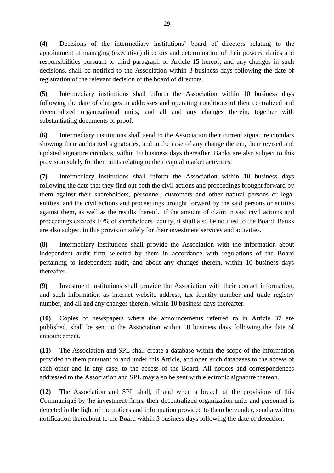**(4)** Decisions of the intermediary institutions' board of directors relating to the appointment of managing (executive) directors and determination of their powers, duties and responsibilities pursuant to third paragraph of Article 15 hereof, and any changes in such decisions, shall be notified to the Association within 3 business days following the date of registration of the relevant decision of the board of directors.

**(5)** Intermediary institutions shall inform the Association within 10 business days following the date of changes in addresses and operating conditions of their centralized and decentralized organizational units, and all and any changes therein, together with substantiating documents of proof.

**(6)** Intermediary institutions shall send to the Association their current signature circulars showing their authorized signatories, and in the case of any change therein, their revised and updated signature circulars, within 10 business days thereafter. Banks are also subject to this provision solely for their units relating to their capital market activities.

**(7)** Intermediary institutions shall inform the Association within 10 business days following the date that they find out both the civil actions and proceedings brought forward by them against their shareholders, personnel, customers and other natural persons or legal entities, and the civil actions and proceedings brought forward by the said persons or entities against them, as well as the results thereof. If the amount of claim in said civil actions and proceedings exceeds 10% of shareholders' equity, it shall also be notified to the Board. Banks are also subject to this provision solely for their investment services and activities.

**(8)** Intermediary institutions shall provide the Association with the information about independent audit firm selected by them in accordance with regulations of the Board pertaining to independent audit, and about any changes therein, within 10 business days thereafter.

**(9)** Investment institutions shall provide the Association with their contact information, and such information as internet website address, tax identity number and trade registry number, and all and any changes therein, within 10 business days thereafter.

**(10)** Copies of newspapers where the announcements referred to in Article 37 are published, shall be sent to the Association within 10 business days following the date of announcement.

**(11)** The Association and SPL shall create a database within the scope of the information provided to them pursuant to and under this Article, and open such databases to the access of each other and in any case, to the access of the Board. All notices and correspondences addressed to the Association and SPL may also be sent with electronic signature thereon.

**(12)** The Association and SPL shall, if and when a breach of the provisions of this Communiqué by the investment firms, their decentralized organization units and personnel is detected in the light of the notices and information provided to them hereunder, send a written notification thereabout to the Board within 3 business days following the date of detection.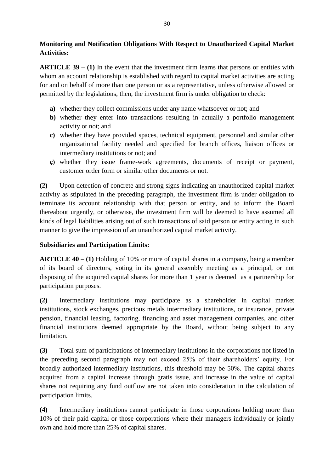**Monitoring and Notification Obligations With Respect to Unauthorized Capital Market Activities:**

**ARTICLE 39 – (1)** In the event that the investment firm learns that persons or entities with whom an account relationship is established with regard to capital market activities are acting for and on behalf of more than one person or as a representative, unless otherwise allowed or permitted by the legislations, then, the investment firm is under obligation to check:

- **a)** whether they collect commissions under any name whatsoever or not; and
- **b**) whether they enter into transactions resulting in actually a portfolio management activity or not; and
- **c)** whether they have provided spaces, technical equipment, personnel and similar other organizational facility needed and specified for branch offices, liaison offices or intermediary institutions or not; and
- **ç)** whether they issue frame-work agreements, documents of receipt or payment, customer order form or similar other documents or not.

**(2)** Upon detection of concrete and strong signs indicating an unauthorized capital market activity as stipulated in the preceding paragraph, the investment firm is under obligation to terminate its account relationship with that person or entity, and to inform the Board thereabout urgently, or otherwise, the investment firm will be deemed to have assumed all kinds of legal liabilities arising out of such transactions of said person or entity acting in such manner to give the impression of an unauthorized capital market activity.

# **Subsidiaries and Participation Limits:**

**ARTICLE 40 – (1)** Holding of 10% or more of capital shares in a company, being a member of its board of directors, voting in its general assembly meeting as a principal, or not disposing of the acquired capital shares for more than 1 year is deemed as a partnership for participation purposes.

**(2)** Intermediary institutions may participate as a shareholder in capital market institutions, stock exchanges, precious metals intermediary institutions, or insurance, private pension, financial leasing, factoring, financing and asset management companies, and other financial institutions deemed appropriate by the Board, without being subject to any limitation.

**(3)** Total sum of participations of intermediary institutions in the corporations not listed in the preceding second paragraph may not exceed 25% of their shareholders' equity. For broadly authorized intermediary institutions, this threshold may be 50%. The capital shares acquired from a capital increase through gratis issue, and increase in the value of capital shares not requiring any fund outflow are not taken into consideration in the calculation of participation limits.

**(4)** Intermediary institutions cannot participate in those corporations holding more than 10% of their paid capital or those corporations where their managers individually or jointly own and hold more than 25% of capital shares.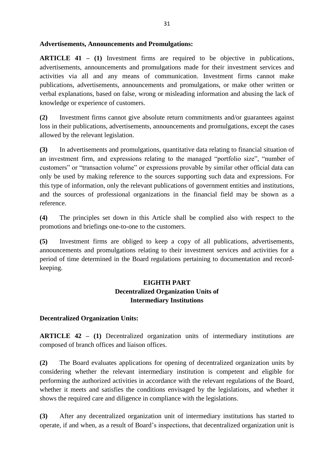#### **Advertisements, Announcements and Promulgations:**

**ARTICLE 41 – (1)** Investment firms are required to be objective in publications, advertisements, announcements and promulgations made for their investment services and activities via all and any means of communication. Investment firms cannot make publications, advertisements, announcements and promulgations, or make other written or verbal explanations, based on false, wrong or misleading information and abusing the lack of knowledge or experience of customers.

**(2)** Investment firms cannot give absolute return commitments and/or guarantees against loss in their publications, advertisements, announcements and promulgations, except the cases allowed by the relevant legislation.

**(3)** In advertisements and promulgations, quantitative data relating to financial situation of an investment firm, and expressions relating to the managed "portfolio size", "number of customers" or "transaction volume" or expressions provable by similar other official data can only be used by making reference to the sources supporting such data and expressions. For this type of information, only the relevant publications of government entities and institutions, and the sources of professional organizations in the financial field may be shown as a reference.

**(4)** The principles set down in this Article shall be complied also with respect to the promotions and briefings one-to-one to the customers.

**(5)** Investment firms are obliged to keep a copy of all publications, advertisements, announcements and promulgations relating to their investment services and activities for a period of time determined in the Board regulations pertaining to documentation and recordkeeping.

# **EIGHTH PART Decentralized Organization Units of Intermediary Institutions**

### **Decentralized Organization Units:**

**ARTICLE 42 – (1)** Decentralized organization units of intermediary institutions are composed of branch offices and liaison offices.

**(2)** The Board evaluates applications for opening of decentralized organization units by considering whether the relevant intermediary institution is competent and eligible for performing the authorized activities in accordance with the relevant regulations of the Board, whether it meets and satisfies the conditions envisaged by the legislations, and whether it shows the required care and diligence in compliance with the legislations.

**(3)** After any decentralized organization unit of intermediary institutions has started to operate, if and when, as a result of Board's inspections, that decentralized organization unit is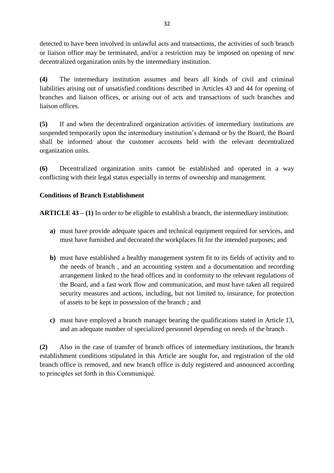detected to have been involved in unlawful acts and transactions, the activities of such branch or liaison office may be terminated, and/or a restriction may be imposed on opening of new decentralized organization units by the intermediary institution.

**(4)** The intermediary institution assumes and bears all kinds of civil and criminal liabilities arising out of unsatisfied conditions described in Articles 43 and 44 for opening of branches and liaison offices, or arising out of acts and transactions of such branches and liaison offices.

**(5)** If and when the decentralized organization activities of intermediary institutions are suspended temporarily upon the intermediary institution's demand or by the Board, the Board shall be informed about the customer accounts held with the relevant decentralized organization units.

**(6)** Decentralized organization units cannot be established and operated in a way conflicting with their legal status especially in terms of ownership and management.

# **Conditions of Branch Establishment**

**ARTICLE 43 – (1)** In order to be eligible to establish a branch, the intermediary institution:

- **a)** must have provide adequate spaces and technical equipment required for services, and must have furnished and decorated the workplaces fit for the intended purposes; and
- **b)** must have established a healthy management system fit to its fields of activity and to the needs of branch , and an accounting system and a documentation and recording arrangement linked to the head offices and in conformity to the relevant regulations of the Board, and a fast work flow and communication, and must have taken all required security measures and actions, including, but not limited to, insurance, for protection of assets to be kept in possession of the branch ; and
- **c)** must have employed a branch manager bearing the qualifications stated in Article 13, and an adequate number of specialized personnel depending on needs of the branch .

**(2)** Also in the case of transfer of branch offices of intermediary institutions, the branch establishment conditions stipulated in this Article are sought for, and registration of the old branch office is removed, and new branch office is duly registered and announced according to principles set forth in this Communiqué.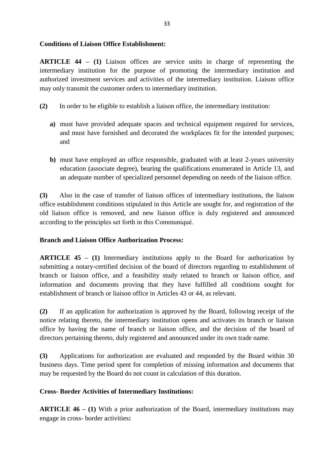### **Conditions of Liaison Office Establishment:**

**ARTICLE 44 – (1)** Liaison offices are service units in charge of representing the intermediary institution for the purpose of promoting the intermediary institution and authorized investment services and activities of the intermediary institution. Liaison office may only transmit the customer orders to intermediary institution.

- **(2)** In order to be eligible to establish a liaison office, the intermediary institution:
	- **a)** must have provided adequate spaces and technical equipment required for services, and must have furnished and decorated the workplaces fit for the intended purposes; and
	- **b)** must have employed an office responsible, graduated with at least 2-years university education (associate degree), bearing the qualifications enumerated in Article 13, and an adequate number of specialized personnel depending on needs of the liaison office.

**(3)** Also in the case of transfer of liaison offices of intermediary institutions, the liaison office establishment conditions stipulated in this Article are sought for, and registration of the old liaison office is removed, and new liaison office is duly registered and announced according to the principles set forth in this Communiqué.

### **Branch and Liaison Office Authorization Process:**

**ARTICLE 45 – (1)** Intermediary institutions apply to the Board for authorization by submitting a notary-certified decision of the board of directors regarding to establishment of branch or liaison office, and a feasibility study related to branch or liaison office, and information and documents proving that they have fulfilled all conditions sought for establishment of branch or liaison office in Articles 43 or 44, as relevant.

**(2)** If an application for authorization is approved by the Board, following receipt of the notice relating thereto, the intermediary institution opens and activates its branch or liaison office by having the name of branch or liaison office, and the decision of the board of directors pertaining thereto, duly registered and announced under its own trade name.

**(3)** Applications for authorization are evaluated and responded by the Board within 30 business days. Time period spent for completion of missing information and documents that may be requested by the Board do not count in calculation of this duration.

### **Cross- Border Activities of Intermediary Institutions:**

**ARTICLE 46 – (1)** With a prior authorization of the Board, intermediary institutions may engage in cross- border activities**:**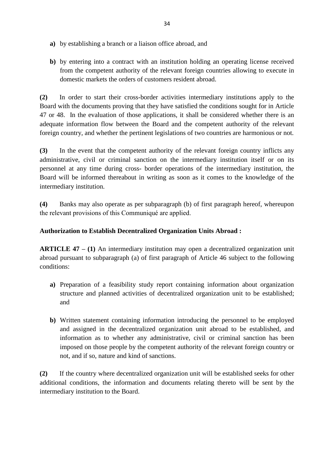- **a)** by establishing a branch or a liaison office abroad, and
- **b)** by entering into a contract with an institution holding an operating license received from the competent authority of the relevant foreign countries allowing to execute in domestic markets the orders of customers resident abroad.

**(2)** In order to start their cross-border activities intermediary institutions apply to the Board with the documents proving that they have satisfied the conditions sought for in Article 47 or 48. In the evaluation of those applications, it shall be considered whether there is an adequate information flow between the Board and the competent authority of the relevant foreign country, and whether the pertinent legislations of two countries are harmonious or not.

**(3)** In the event that the competent authority of the relevant foreign country inflicts any administrative, civil or criminal sanction on the intermediary institution itself or on its personnel at any time during cross- border operations of the intermediary institution, the Board will be informed thereabout in writing as soon as it comes to the knowledge of the intermediary institution.

**(4)** Banks may also operate as per subparagraph (b) of first paragraph hereof, whereupon the relevant provisions of this Communiqué are applied.

## **Authorization to Establish Decentralized Organization Units Abroad :**

**ARTICLE 47 – (1)** An intermediary institution may open a decentralized organization unit abroad pursuant to subparagraph (a) of first paragraph of Article 46 subject to the following conditions:

- **a)** Preparation of a feasibility study report containing information about organization structure and planned activities of decentralized organization unit to be established; and
- **b)** Written statement containing information introducing the personnel to be employed and assigned in the decentralized organization unit abroad to be established, and information as to whether any administrative, civil or criminal sanction has been imposed on those people by the competent authority of the relevant foreign country or not, and if so, nature and kind of sanctions.

**(2)** If the country where decentralized organization unit will be established seeks for other additional conditions, the information and documents relating thereto will be sent by the intermediary institution to the Board.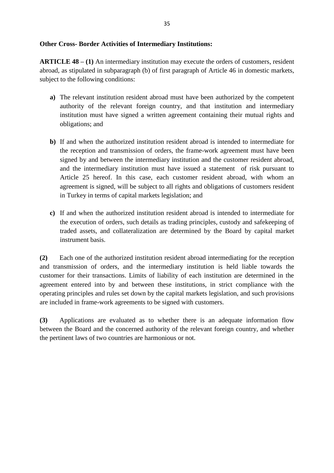#### **Other Cross- Border Activities of Intermediary Institutions:**

**ARTICLE 48 – (1)** An intermediary institution may execute the orders of customers, resident abroad, as stipulated in subparagraph (b) of first paragraph of Article 46 in domestic markets, subject to the following conditions:

- **a)** The relevant institution resident abroad must have been authorized by the competent authority of the relevant foreign country, and that institution and intermediary institution must have signed a written agreement containing their mutual rights and obligations; and
- **b)** If and when the authorized institution resident abroad is intended to intermediate for the reception and transmission of orders, the frame-work agreement must have been signed by and between the intermediary institution and the customer resident abroad, and the intermediary institution must have issued a statement of risk pursuant to Article 25 hereof. In this case, each customer resident abroad, with whom an agreement is signed, will be subject to all rights and obligations of customers resident in Turkey in terms of capital markets legislation; and
- **c)** If and when the authorized institution resident abroad is intended to intermediate for the execution of orders, such details as trading principles, custody and safekeeping of traded assets, and collateralization are determined by the Board by capital market instrument basis.

**(2)** Each one of the authorized institution resident abroad intermediating for the reception and transmission of orders, and the intermediary institution is held liable towards the customer for their transactions. Limits of liability of each institution are determined in the agreement entered into by and between these institutions, in strict compliance with the operating principles and rules set down by the capital markets legislation, and such provisions are included in frame-work agreements to be signed with customers.

**(3)** Applications are evaluated as to whether there is an adequate information flow between the Board and the concerned authority of the relevant foreign country, and whether the pertinent laws of two countries are harmonious or not.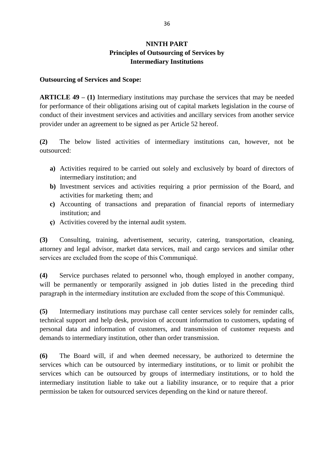# **NINTH PART Principles of Outsourcing of Services by Intermediary Institutions**

#### **Outsourcing of Services and Scope:**

**ARTICLE 49 – (1)** Intermediary institutions may purchase the services that may be needed for performance of their obligations arising out of capital markets legislation in the course of conduct of their investment services and activities and ancillary services from another service provider under an agreement to be signed as per Article 52 hereof.

**(2)** The below listed activities of intermediary institutions can, however, not be outsourced:

- **a)** Activities required to be carried out solely and exclusively by board of directors of intermediary institution; and
- **b)** Investment services and activities requiring a prior permission of the Board, and activities for marketing them; and
- **c)** Accounting of transactions and preparation of financial reports of intermediary institution; and
- **ç)** Activities covered by the internal audit system.

**(3)** Consulting, training, advertisement, security, catering, transportation, cleaning, attorney and legal advisor, market data services, mail and cargo services and similar other services are excluded from the scope of this Communiqué.

**(4)** Service purchases related to personnel who, though employed in another company, will be permanently or temporarily assigned in job duties listed in the preceding third paragraph in the intermediary institution are excluded from the scope of this Communiqué.

**(5)** Intermediary institutions may purchase call center services solely for reminder calls, technical support and help desk, provision of account information to customers, updating of personal data and information of customers, and transmission of customer requests and demands to intermediary institution, other than order transmission.

**(6)** The Board will, if and when deemed necessary, be authorized to determine the services which can be outsourced by intermediary institutions, or to limit or prohibit the services which can be outsourced by groups of intermediary institutions, or to hold the intermediary institution liable to take out a liability insurance, or to require that a prior permission be taken for outsourced services depending on the kind or nature thereof.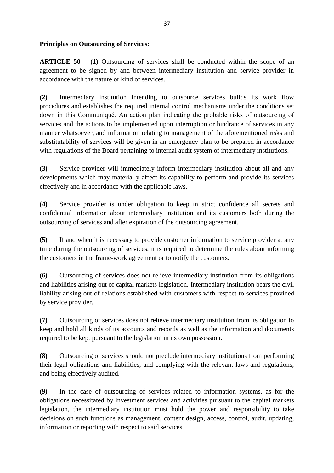### **Principles on Outsourcing of Services:**

**ARTICLE 50 – (1)** Outsourcing of services shall be conducted within the scope of an agreement to be signed by and between intermediary institution and service provider in accordance with the nature or kind of services.

**(2)** Intermediary institution intending to outsource services builds its work flow procedures and establishes the required internal control mechanisms under the conditions set down in this Communiqué. An action plan indicating the probable risks of outsourcing of services and the actions to be implemented upon interruption or hindrance of services in any manner whatsoever, and information relating to management of the aforementioned risks and substitutability of services will be given in an emergency plan to be prepared in accordance with regulations of the Board pertaining to internal audit system of intermediary institutions.

**(3)** Service provider will immediately inform intermediary institution about all and any developments which may materially affect its capability to perform and provide its services effectively and in accordance with the applicable laws.

**(4)** Service provider is under obligation to keep in strict confidence all secrets and confidential information about intermediary institution and its customers both during the outsourcing of services and after expiration of the outsourcing agreement.

**(5)** If and when it is necessary to provide customer information to service provider at any time during the outsourcing of services, it is required to determine the rules about informing the customers in the frame-work agreement or to notify the customers.

**(6)** Outsourcing of services does not relieve intermediary institution from its obligations and liabilities arising out of capital markets legislation. Intermediary institution bears the civil liability arising out of relations established with customers with respect to services provided by service provider.

**(7)** Outsourcing of services does not relieve intermediary institution from its obligation to keep and hold all kinds of its accounts and records as well as the information and documents required to be kept pursuant to the legislation in its own possession.

**(8)** Outsourcing of services should not preclude intermediary institutions from performing their legal obligations and liabilities, and complying with the relevant laws and regulations, and being effectively audited.

**(9)** In the case of outsourcing of services related to information systems, as for the obligations necessitated by investment services and activities pursuant to the capital markets legislation, the intermediary institution must hold the power and responsibility to take decisions on such functions as management, content design, access, control, audit, updating, information or reporting with respect to said services.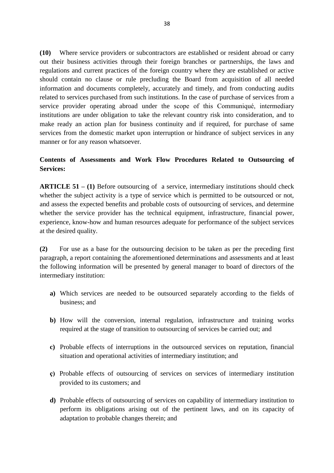**(10)** Where service providers or subcontractors are established or resident abroad or carry out their business activities through their foreign branches or partnerships, the laws and regulations and current practices of the foreign country where they are established or active should contain no clause or rule precluding the Board from acquisition of all needed information and documents completely, accurately and timely, and from conducting audits related to services purchased from such institutions. In the case of purchase of services from a service provider operating abroad under the scope of this Communiqué, intermediary institutions are under obligation to take the relevant country risk into consideration, and to make ready an action plan for business continuity and if required, for purchase of same services from the domestic market upon interruption or hindrance of subject services in any manner or for any reason whatsoever.

## **Contents of Assessments and Work Flow Procedures Related to Outsourcing of Services:**

**ARTICLE 51 – (1)** Before outsourcing of a service, intermediary institutions should check whether the subject activity is a type of service which is permitted to be outsourced or not, and assess the expected benefits and probable costs of outsourcing of services, and determine whether the service provider has the technical equipment, infrastructure, financial power, experience, know-how and human resources adequate for performance of the subject services at the desired quality.

**(2)** For use as a base for the outsourcing decision to be taken as per the preceding first paragraph, a report containing the aforementioned determinations and assessments and at least the following information will be presented by general manager to board of directors of the intermediary institution:

- **a)** Which services are needed to be outsourced separately according to the fields of business; and
- **b)** How will the conversion, internal regulation, infrastructure and training works required at the stage of transition to outsourcing of services be carried out; and
- **c)** Probable effects of interruptions in the outsourced services on reputation, financial situation and operational activities of intermediary institution; and
- **ç)** Probable effects of outsourcing of services on services of intermediary institution provided to its customers; and
- **d)** Probable effects of outsourcing of services on capability of intermediary institution to perform its obligations arising out of the pertinent laws, and on its capacity of adaptation to probable changes therein; and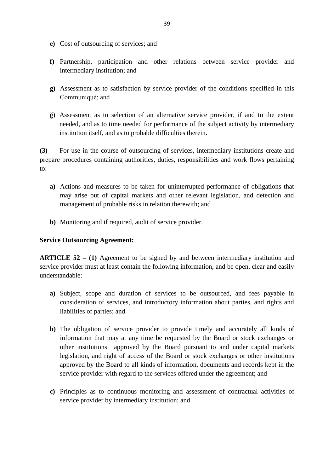- **e)** Cost of outsourcing of services; and
- **f)** Partnership, participation and other relations between service provider and intermediary institution; and
- **g)** Assessment as to satisfaction by service provider of the conditions specified in this Communiqué; and
- **ğ)** Assessment as to selection of an alternative service provider, if and to the extent needed, and as to time needed for performance of the subject activity by intermediary institution itself, and as to probable difficulties therein.

**(3)** For use in the course of outsourcing of services, intermediary institutions create and prepare procedures containing authorities, duties, responsibilities and work flows pertaining to:

- **a)** Actions and measures to be taken for uninterrupted performance of obligations that may arise out of capital markets and other relevant legislation, and detection and management of probable risks in relation therewith; and
- **b)** Monitoring and if required, audit of service provider.

### **Service Outsourcing Agreement:**

**ARTICLE 52 – (1)** Agreement to be signed by and between intermediary institution and service provider must at least contain the following information, and be open, clear and easily understandable:

- **a)** Subject, scope and duration of services to be outsourced, and fees payable in consideration of services, and introductory information about parties, and rights and liabilities of parties; and
- **b)** The obligation of service provider to provide timely and accurately all kinds of information that may at any time be requested by the Board or stock exchanges or other institutions approved by the Board pursuant to and under capital markets legislation, and right of access of the Board or stock exchanges or other institutions approved by the Board to all kinds of information, documents and records kept in the service provider with regard to the services offered under the agreement; and
- **c)** Principles as to continuous monitoring and assessment of contractual activities of service provider by intermediary institution; and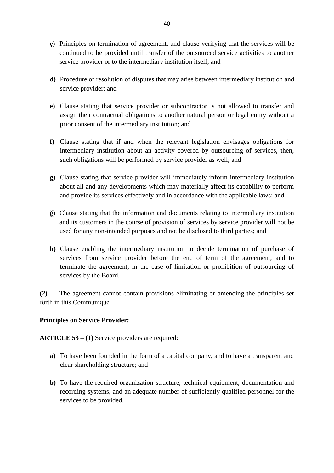- **ç)** Principles on termination of agreement, and clause verifying that the services will be continued to be provided until transfer of the outsourced service activities to another service provider or to the intermediary institution itself; and
- **d)** Procedure of resolution of disputes that may arise between intermediary institution and service provider; and
- **e)** Clause stating that service provider or subcontractor is not allowed to transfer and assign their contractual obligations to another natural person or legal entity without a prior consent of the intermediary institution; and
- **f)** Clause stating that if and when the relevant legislation envisages obligations for intermediary institution about an activity covered by outsourcing of services, then, such obligations will be performed by service provider as well; and
- **g)** Clause stating that service provider will immediately inform intermediary institution about all and any developments which may materially affect its capability to perform and provide its services effectively and in accordance with the applicable laws; and
- **ğ)** Clause stating that the information and documents relating to intermediary institution and its customers in the course of provision of services by service provider will not be used for any non-intended purposes and not be disclosed to third parties; and
- **h)** Clause enabling the intermediary institution to decide termination of purchase of services from service provider before the end of term of the agreement, and to terminate the agreement, in the case of limitation or prohibition of outsourcing of services by the Board.

**(2)** The agreement cannot contain provisions eliminating or amending the principles set forth in this Communiqué.

### **Principles on Service Provider:**

**ARTICLE 53 – (1)** Service providers are required:

- **a)** To have been founded in the form of a capital company, and to have a transparent and clear shareholding structure; and
- **b)** To have the required organization structure, technical equipment, documentation and recording systems, and an adequate number of sufficiently qualified personnel for the services to be provided.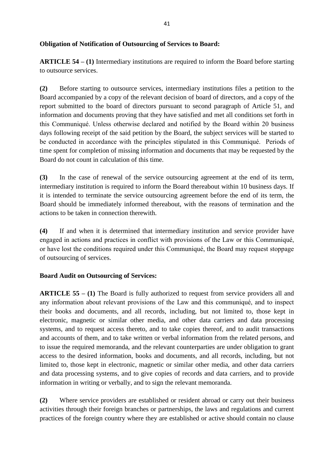### **Obligation of Notification of Outsourcing of Services to Board:**

**ARTICLE 54 – (1)** Intermediary institutions are required to inform the Board before starting to outsource services.

**(2)** Before starting to outsource services, intermediary institutions files a petition to the Board accompanied by a copy of the relevant decision of board of directors, and a copy of the report submitted to the board of directors pursuant to second paragraph of Article 51, and information and documents proving that they have satisfied and met all conditions set forth in this Communiqué. Unless otherwise declared and notified by the Board within 20 business days following receipt of the said petition by the Board, the subject services will be started to be conducted in accordance with the principles stipulated in this Communiqué. Periods of time spent for completion of missing information and documents that may be requested by the Board do not count in calculation of this time.

**(3)** In the case of renewal of the service outsourcing agreement at the end of its term, intermediary institution is required to inform the Board thereabout within 10 business days. If it is intended to terminate the service outsourcing agreement before the end of its term, the Board should be immediately informed thereabout, with the reasons of termination and the actions to be taken in connection therewith.

**(4)** If and when it is determined that intermediary institution and service provider have engaged in actions and practices in conflict with provisions of the Law or this Communiqué, or have lost the conditions required under this Communiqué, the Board may request stoppage of outsourcing of services.

### **Board Audit on Outsourcing of Services:**

**ARTICLE 55 – (1)** The Board is fully authorized to request from service providers all and any information about relevant provisions of the Law and this communiqué, and to inspect their books and documents, and all records, including, but not limited to, those kept in electronic, magnetic or similar other media, and other data carriers and data processing systems, and to request access thereto, and to take copies thereof, and to audit transactions and accounts of them, and to take written or verbal information from the related persons, and to issue the required memoranda, and the relevant counterparties are under obligation to grant access to the desired information, books and documents, and all records, including, but not limited to, those kept in electronic, magnetic or similar other media, and other data carriers and data processing systems, and to give copies of records and data carriers, and to provide information in writing or verbally, and to sign the relevant memoranda.

**(2)** Where service providers are established or resident abroad or carry out their business activities through their foreign branches or partnerships, the laws and regulations and current practices of the foreign country where they are established or active should contain no clause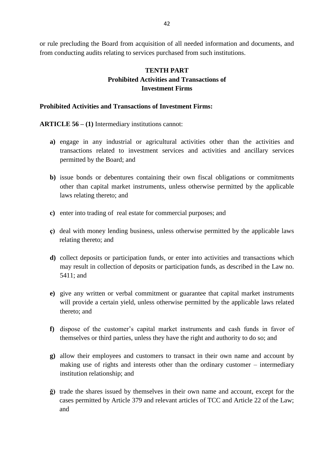or rule precluding the Board from acquisition of all needed information and documents, and from conducting audits relating to services purchased from such institutions.

# **TENTH PART Prohibited Activities and Transactions of Investment Firms**

#### **Prohibited Activities and Transactions of Investment Firms:**

**ARTICLE 56 – (1)** Intermediary institutions cannot:

- **a)** engage in any industrial or agricultural activities other than the activities and transactions related to investment services and activities and ancillary services permitted by the Board; and
- **b)** issue bonds or debentures containing their own fiscal obligations or commitments other than capital market instruments, unless otherwise permitted by the applicable laws relating thereto; and
- **c)** enter into trading of real estate for commercial purposes; and
- **ç)** deal with money lending business, unless otherwise permitted by the applicable laws relating thereto; and
- **d)** collect deposits or participation funds, or enter into activities and transactions which may result in collection of deposits or participation funds, as described in the Law no. 5411; and
- **e)** give any written or verbal commitment or guarantee that capital market instruments will provide a certain yield, unless otherwise permitted by the applicable laws related thereto; and
- **f)** dispose of the customer's capital market instruments and cash funds in favor of themselves or third parties, unless they have the right and authority to do so; and
- **g)** allow their employees and customers to transact in their own name and account by making use of rights and interests other than the ordinary customer – intermediary institution relationship; and
- **ğ)** trade the shares issued by themselves in their own name and account, except for the cases permitted by Article 379 and relevant articles of TCC and Article 22 of the Law; and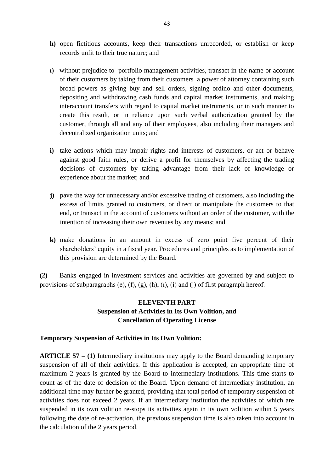- **h)** open fictitious accounts, keep their transactions unrecorded, or establish or keep records unfit to their true nature; and
- **ı)** without prejudice to portfolio management activities, transact in the name or account of their customers by taking from their customers a power of attorney containing such broad powers as giving buy and sell orders, signing ordino and other documents, depositing and withdrawing cash funds and capital market instruments, and making interaccount transfers with regard to capital market instruments, or in such manner to create this result, or in reliance upon such verbal authorization granted by the customer, through all and any of their employees, also including their managers and decentralized organization units; and
- **i)** take actions which may impair rights and interests of customers, or act or behave against good faith rules, or derive a profit for themselves by affecting the trading decisions of customers by taking advantage from their lack of knowledge or experience about the market; and
- **j)** pave the way for unnecessary and/or excessive trading of customers, also including the excess of limits granted to customers, or direct or manipulate the customers to that end, or transact in the account of customers without an order of the customer, with the intention of increasing their own revenues by any means; and
- **k)** make donations in an amount in excess of zero point five percent of their shareholders' equity in a fiscal year. Procedures and principles as to implementation of this provision are determined by the Board.

**(2)** Banks engaged in investment services and activities are governed by and subject to provisions of subparagraphs (e),  $(f)$ ,  $(g)$ ,  $(h)$ ,  $(i)$ ,  $(i)$  and  $(i)$  of first paragraph hereof.

# **ELEVENTH PART Suspension of Activities in Its Own Volition, and Cancellation of Operating License**

### **Temporary Suspension of Activities in Its Own Volition:**

**ARTICLE 57 – (1)** Intermediary institutions may apply to the Board demanding temporary suspension of all of their activities. If this application is accepted, an appropriate time of maximum 2 years is granted by the Board to intermediary institutions. This time starts to count as of the date of decision of the Board. Upon demand of intermediary institution, an additional time may further be granted, providing that total period of temporary suspension of activities does not exceed 2 years. If an intermediary institution the activities of which are suspended in its own volition re-stops its activities again in its own volition within 5 years following the date of re-activation, the previous suspension time is also taken into account in the calculation of the 2 years period.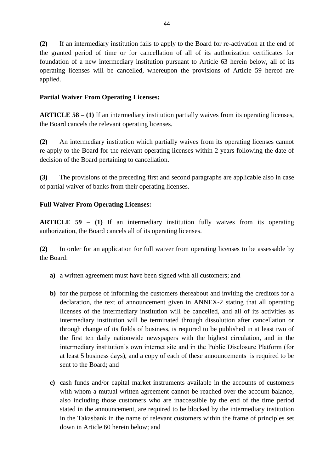**(2)** If an intermediary institution fails to apply to the Board for re-activation at the end of the granted period of time or for cancellation of all of its authorization certificates for foundation of a new intermediary institution pursuant to Article 63 herein below, all of its operating licenses will be cancelled, whereupon the provisions of Article 59 hereof are applied.

# **Partial Waiver From Operating Licenses:**

**ARTICLE 58 – (1)** If an intermediary institution partially waives from its operating licenses, the Board cancels the relevant operating licenses.

**(2)** An intermediary institution which partially waives from its operating licenses cannot re-apply to the Board for the relevant operating licenses within 2 years following the date of decision of the Board pertaining to cancellation.

**(3)** The provisions of the preceding first and second paragraphs are applicable also in case of partial waiver of banks from their operating licenses.

# **Full Waiver From Operating Licenses:**

**ARTICLE 59 – (1)** If an intermediary institution fully waives from its operating authorization, the Board cancels all of its operating licenses.

**(2)** In order for an application for full waiver from operating licenses to be assessable by the Board:

- **a)** a written agreement must have been signed with all customers; and
- **b)** for the purpose of informing the customers thereabout and inviting the creditors for a declaration, the text of announcement given in ANNEX-2 stating that all operating licenses of the intermediary institution will be cancelled, and all of its activities as intermediary institution will be terminated through dissolution after cancellation or through change of its fields of business, is required to be published in at least two of the first ten daily nationwide newspapers with the highest circulation, and in the intermediary institution's own internet site and in the Public Disclosure Platform (for at least 5 business days), and a copy of each of these announcements is required to be sent to the Board; and
- **c)** cash funds and/or capital market instruments available in the accounts of customers with whom a mutual written agreement cannot be reached over the account balance, also including those customers who are inaccessible by the end of the time period stated in the announcement, are required to be blocked by the intermediary institution in the Takasbank in the name of relevant customers within the frame of principles set down in Article 60 herein below; and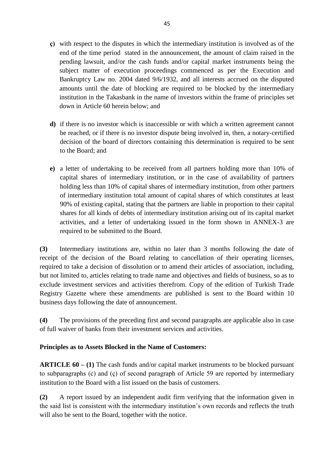- **ç)** with respect to the disputes in which the intermediary institution is involved as of the end of the time period stated in the announcement, the amount of claim raised in the pending lawsuit, and/or the cash funds and/or capital market instruments being the subject matter of execution proceedings commenced as per the Execution and Bankruptcy Law no. 2004 dated 9/6/1932, and all interests accrued on the disputed amounts until the date of blocking are required to be blocked by the intermediary institution in the Takasbank in the name of investors within the frame of principles set down in Article 60 herein below; and
- **d)** if there is no investor which is inaccessible or with which a written agreement cannot be reached, or if there is no investor dispute being involved in, then, a notary-certified decision of the board of directors containing this determination is required to be sent to the Board; and
- **e)** a letter of undertaking to be received from all partners holding more than 10% of capital shares of intermediary institution, or in the case of availability of partners holding less than 10% of capital shares of intermediary institution, from other partners of intermediary institution total amount of capital shares of which constitutes at least 90% of existing capital, stating that the partners are liable in proportion to their capital shares for all kinds of debts of intermediary institution arising out of its capital market activities, and a letter of undertaking issued in the form shown in ANNEX-3 are required to be submitted to the Board.

**(3)** Intermediary institutions are, within no later than 3 months following the date of receipt of the decision of the Board relating to cancellation of their operating licenses, required to take a decision of dissolution or to amend their articles of association, including, but not limited to, articles relating to trade name and objectives and fields of business, so as to exclude investment services and activities therefrom. Copy of the edition of Turkish Trade Registry Gazette where these amendments are published is sent to the Board within 10 business days following the date of announcement.

**(4)** The provisions of the preceding first and second paragraphs are applicable also in case of full waiver of banks from their investment services and activities.

# **Principles as to Assets Blocked in the Name of Customers:**

**ARTICLE 60 – (1)** The cash funds and/or capital market instruments to be blocked pursuant to subparagraphs (c) and (ç) of second paragraph of Article 59 are reported by intermediary institution to the Board with a list issued on the basis of customers.

**(2)** A report issued by an independent audit firm verifying that the information given in the said list is consistent with the intermediary institution's own records and reflects the truth will also be sent to the Board, together with the notice.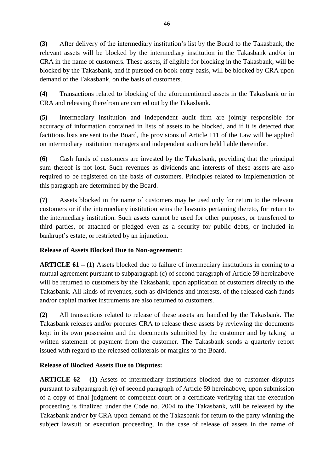**(3)** After delivery of the intermediary institution's list by the Board to the Takasbank, the relevant assets will be blocked by the intermediary institution in the Takasbank and/or in CRA in the name of customers. These assets, if eligible for blocking in the Takasbank, will be blocked by the Takasbank, and if pursued on book-entry basis, will be blocked by CRA upon demand of the Takasbank, on the basis of customers.

**(4)** Transactions related to blocking of the aforementioned assets in the Takasbank or in CRA and releasing therefrom are carried out by the Takasbank.

**(5)** Intermediary institution and independent audit firm are jointly responsible for accuracy of information contained in lists of assets to be blocked, and if it is detected that factitious lists are sent to the Board, the provisions of Article 111 of the Law will be applied on intermediary institution managers and independent auditors held liable thereinfor.

**(6)** Cash funds of customers are invested by the Takasbank, providing that the principal sum thereof is not lost. Such revenues as dividends and interests of these assets are also required to be registered on the basis of customers. Principles related to implementation of this paragraph are determined by the Board.

**(7)** Assets blocked in the name of customers may be used only for return to the relevant customers or if the intermediary institution wins the lawsuits pertaining thereto, for return to the intermediary institution. Such assets cannot be used for other purposes, or transferred to third parties, or attached or pledged even as a security for public debts, or included in bankrupt's estate, or restricted by an injunction.

# **Release of Assets Blocked Due to Non-agreement:**

**ARTICLE 61 – (1)** Assets blocked due to failure of intermediary institutions in coming to a mutual agreement pursuant to subparagraph (c) of second paragraph of Article 59 hereinabove will be returned to customers by the Takasbank, upon application of customers directly to the Takasbank. All kinds of revenues, such as dividends and interests, of the released cash funds and/or capital market instruments are also returned to customers.

**(2)** All transactions related to release of these assets are handled by the Takasbank. The Takasbank releases and/or procures CRA to release these assets by reviewing the documents kept in its own possession and the documents submitted by the customer and by taking a written statement of payment from the customer. The Takasbank sends a quarterly report issued with regard to the released collaterals or margins to the Board.

# **Release of Blocked Assets Due to Disputes:**

**ARTICLE 62 – (1)** Assets of intermediary institutions blocked due to customer disputes pursuant to subparagraph (ç) of second paragraph of Article 59 hereinabove, upon submission of a copy of final judgment of competent court or a certificate verifying that the execution proceeding is finalized under the Code no. 2004 to the Takasbank, will be released by the Takasbank and/or by CRA upon demand of the Takasbank for return to the party winning the subject lawsuit or execution proceeding. In the case of release of assets in the name of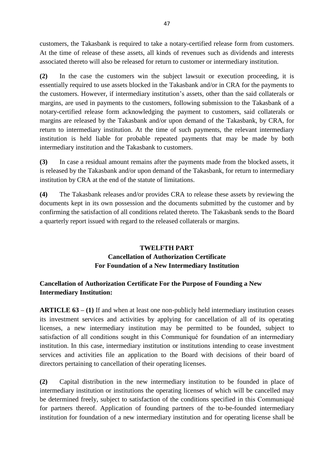customers, the Takasbank is required to take a notary-certified release form from customers. At the time of release of these assets, all kinds of revenues such as dividends and interests associated thereto will also be released for return to customer or intermediary institution.

**(2)** In the case the customers win the subject lawsuit or execution proceeding, it is essentially required to use assets blocked in the Takasbank and/or in CRA for the payments to the customers. However, if intermediary institution's assets, other than the said collaterals or margins, are used in payments to the customers, following submission to the Takasbank of a notary-certified release form acknowledging the payment to customers, said collaterals or margins are released by the Takasbank and/or upon demand of the Takasbank, by CRA, for return to intermediary institution. At the time of such payments, the relevant intermediary institution is held liable for probable repeated payments that may be made by both intermediary institution and the Takasbank to customers.

**(3)** In case a residual amount remains after the payments made from the blocked assets, it is released by the Takasbank and/or upon demand of the Takasbank, for return to intermediary institution by CRA at the end of the statute of limitations.

**(4)** The Takasbank releases and/or provides CRA to release these assets by reviewing the documents kept in its own possession and the documents submitted by the customer and by confirming the satisfaction of all conditions related thereto. The Takasbank sends to the Board a quarterly report issued with regard to the released collaterals or margins.

# **TWELFTH PART Cancellation of Authorization Certificate For Foundation of a New Intermediary Institution**

# **Cancellation of Authorization Certificate For the Purpose of Founding a New Intermediary Institution:**

**ARTICLE 63 – (1)** If and when at least one non-publicly held intermediary institution ceases its investment services and activities by applying for cancellation of all of its operating licenses, a new intermediary institution may be permitted to be founded, subject to satisfaction of all conditions sought in this Communiqué for foundation of an intermediary institution. In this case, intermediary institution or institutions intending to cease investment services and activities file an application to the Board with decisions of their board of directors pertaining to cancellation of their operating licenses.

**(2)** Capital distribution in the new intermediary institution to be founded in place of intermediary institution or institutions the operating licenses of which will be cancelled may be determined freely, subject to satisfaction of the conditions specified in this Communiqué for partners thereof. Application of founding partners of the to-be-founded intermediary institution for foundation of a new intermediary institution and for operating license shall be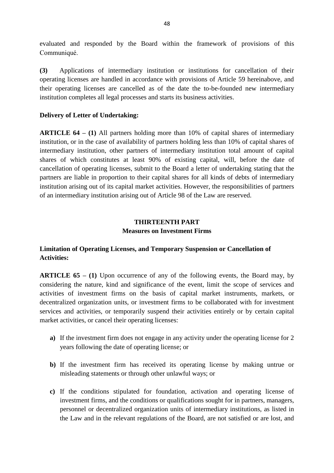evaluated and responded by the Board within the framework of provisions of this Communiqué.

**(3)** Applications of intermediary institution or institutions for cancellation of their operating licenses are handled in accordance with provisions of Article 59 hereinabove, and their operating licenses are cancelled as of the date the to-be-founded new intermediary institution completes all legal processes and starts its business activities.

### **Delivery of Letter of Undertaking:**

**ARTICLE 64 – (1)** All partners holding more than 10% of capital shares of intermediary institution, or in the case of availability of partners holding less than 10% of capital shares of intermediary institution, other partners of intermediary institution total amount of capital shares of which constitutes at least 90% of existing capital, will, before the date of cancellation of operating licenses, submit to the Board a letter of undertaking stating that the partners are liable in proportion to their capital shares for all kinds of debts of intermediary institution arising out of its capital market activities. However, the responsibilities of partners of an intermediary institution arising out of Article 98 of the Law are reserved.

### **THIRTEENTH PART Measures on Investment Firms**

## **Limitation of Operating Licenses, and Temporary Suspension or Cancellation of Activities:**

**ARTICLE 65 – (1)** Upon occurrence of any of the following events, the Board may, by considering the nature, kind and significance of the event, limit the scope of services and activities of investment firms on the basis of capital market instruments, markets, or decentralized organization units, or investment firms to be collaborated with for investment services and activities, or temporarily suspend their activities entirely or by certain capital market activities, or cancel their operating licenses:

- **a)** If the investment firm does not engage in any activity under the operating license for 2 years following the date of operating license; or
- **b)** If the investment firm has received its operating license by making untrue or misleading statements or through other unlawful ways; or
- **c)** If the conditions stipulated for foundation, activation and operating license of investment firms, and the conditions or qualifications sought for in partners, managers, personnel or decentralized organization units of intermediary institutions, as listed in the Law and in the relevant regulations of the Board, are not satisfied or are lost, and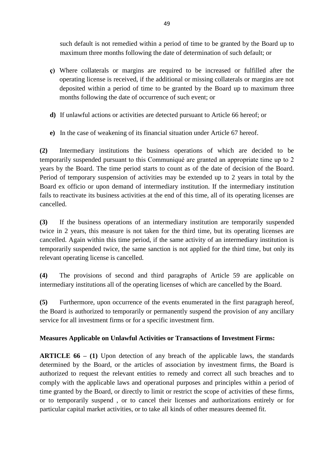such default is not remedied within a period of time to be granted by the Board up to maximum three months following the date of determination of such default; or

- **ç)** Where collaterals or margins are required to be increased or fulfilled after the operating license is received, if the additional or missing collaterals or margins are not deposited within a period of time to be granted by the Board up to maximum three months following the date of occurrence of such event; or
- **d)** If unlawful actions or activities are detected pursuant to Article 66 hereof; or
- **e)** In the case of weakening of its financial situation under Article 67 hereof.

**(2)** Intermediary institutions the business operations of which are decided to be temporarily suspended pursuant to this Communiqué are granted an appropriate time up to 2 years by the Board. The time period starts to count as of the date of decision of the Board. Period of temporary suspension of activities may be extended up to 2 years in total by the Board ex officio or upon demand of intermediary institution. If the intermediary institution fails to reactivate its business activities at the end of this time, all of its operating licenses are cancelled.

**(3)** If the business operations of an intermediary institution are temporarily suspended twice in 2 years, this measure is not taken for the third time, but its operating licenses are cancelled. Again within this time period, if the same activity of an intermediary institution is temporarily suspended twice, the same sanction is not applied for the third time, but only its relevant operating license is cancelled.

**(4)** The provisions of second and third paragraphs of Article 59 are applicable on intermediary institutions all of the operating licenses of which are cancelled by the Board.

**(5)** Furthermore, upon occurrence of the events enumerated in the first paragraph hereof, the Board is authorized to temporarily or permanently suspend the provision of any ancillary service for all investment firms or for a specific investment firm.

# **Measures Applicable on Unlawful Activities or Transactions of Investment Firms:**

**ARTICLE 66 – (1)** Upon detection of any breach of the applicable laws, the standards determined by the Board, or the articles of association by investment firms, the Board is authorized to request the relevant entities to remedy and correct all such breaches and to comply with the applicable laws and operational purposes and principles within a period of time granted by the Board, or directly to limit or restrict the scope of activities of these firms, or to temporarily suspend , or to cancel their licenses and authorizations entirely or for particular capital market activities, or to take all kinds of other measures deemed fit.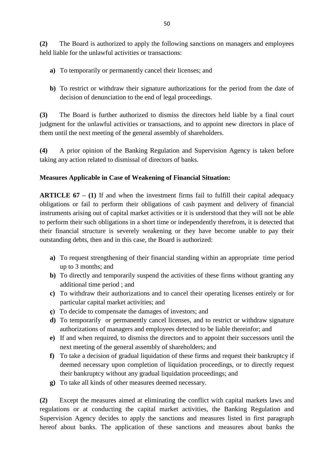**(2)** The Board is authorized to apply the following sanctions on managers and employees held liable for the unlawful activities or transactions:

- **a)** To temporarily or permanently cancel their licenses; and
- **b)** To restrict or withdraw their signature authorizations for the period from the date of decision of denunciation to the end of legal proceedings.

**(3)** The Board is further authorized to dismiss the directors held liable by a final court judgment for the unlawful activities or transactions, and to appoint new directors in place of them until the next meeting of the general assembly of shareholders.

**(4)** A prior opinion of the Banking Regulation and Supervision Agency is taken before taking any action related to dismissal of directors of banks.

### **Measures Applicable in Case of Weakening of Financial Situation:**

**ARTICLE 67 – (1)** If and when the investment firms fail to fulfill their capital adequacy obligations or fail to perform their obligations of cash payment and delivery of financial instruments arising out of capital market activities or it is understood that they will not be able to perform their such obligations in a short time or independently therefrom, it is detected that their financial structure is severely weakening or they have become unable to pay their outstanding debts, then and in this case, the Board is authorized:

- **a)** To request strengthening of their financial standing within an appropriate time period up to 3 months; and
- **b)** To directly and temporarily suspend the activities of these firms without granting any additional time period ; and
- **c)** To withdraw their authorizations and to cancel their operating licenses entirely or for particular capital market activities; and
- **ç)** To decide to compensate the damages of investors; and
- **d)** To temporarily or permanently cancel licenses, and to restrict or withdraw signature authorizations of managers and employees detected to be liable thereinfor; and
- **e)** If and when required, to dismiss the directors and to appoint their successors until the next meeting of the general assembly of shareholders; and
- **f)** To take a decision of gradual liquidation of these firms and request their bankruptcy if deemed necessary upon completion of liquidation proceedings, or to directly request their bankruptcy without any gradual liquidation proceedings; and
- **g)** To take all kinds of other measures deemed necessary.

**(2)** Except the measures aimed at eliminating the conflict with capital markets laws and regulations or at conducting the capital market activities, the Banking Regulation and Supervision Agency decides to apply the sanctions and measures listed in first paragraph hereof about banks. The application of these sanctions and measures about banks the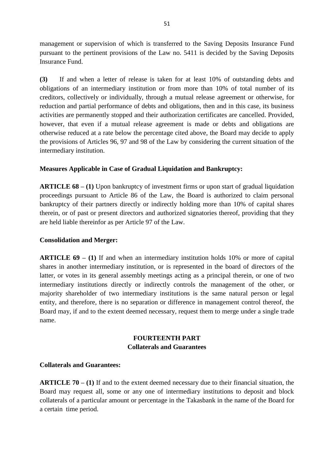management or supervision of which is transferred to the Saving Deposits Insurance Fund pursuant to the pertinent provisions of the Law no. 5411 is decided by the Saving Deposits Insurance Fund.

**(3)** If and when a letter of release is taken for at least 10% of outstanding debts and obligations of an intermediary institution or from more than 10% of total number of its creditors, collectively or individually, through a mutual release agreement or otherwise, for reduction and partial performance of debts and obligations, then and in this case, its business activities are permanently stopped and their authorization certificates are cancelled. Provided, however, that even if a mutual release agreement is made or debts and obligations are otherwise reduced at a rate below the percentage cited above, the Board may decide to apply the provisions of Articles 96, 97 and 98 of the Law by considering the current situation of the intermediary institution.

## **Measures Applicable in Case of Gradual Liquidation and Bankruptcy:**

**ARTICLE 68 – (1)** Upon bankruptcy of investment firms or upon start of gradual liquidation proceedings pursuant to Article 86 of the Law, the Board is authorized to claim personal bankruptcy of their partners directly or indirectly holding more than 10% of capital shares therein, or of past or present directors and authorized signatories thereof, providing that they are held liable thereinfor as per Article 97 of the Law.

#### **Consolidation and Merger:**

**ARTICLE 69 – (1)** If and when an intermediary institution holds 10% or more of capital shares in another intermediary institution, or is represented in the board of directors of the latter, or votes in its general assembly meetings acting as a principal therein, or one of two intermediary institutions directly or indirectly controls the management of the other, or majority shareholder of two intermediary institutions is the same natural person or legal entity, and therefore, there is no separation or difference in management control thereof, the Board may, if and to the extent deemed necessary, request them to merge under a single trade name.

### **FOURTEENTH PART Collaterals and Guarantees**

### **Collaterals and Guarantees:**

**ARTICLE 70 – (1)** If and to the extent deemed necessary due to their financial situation, the Board may request all, some or any one of intermediary institutions to deposit and block collaterals of a particular amount or percentage in the Takasbank in the name of the Board for a certain time period.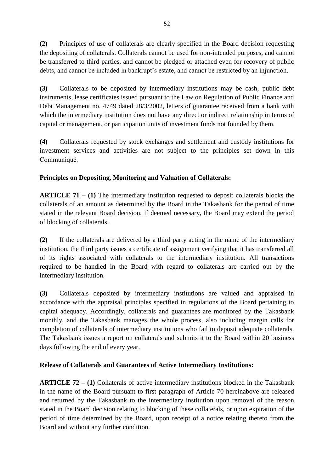**(2)** Principles of use of collaterals are clearly specified in the Board decision requesting the depositing of collaterals. Collaterals cannot be used for non-intended purposes, and cannot be transferred to third parties, and cannot be pledged or attached even for recovery of public debts, and cannot be included in bankrupt's estate, and cannot be restricted by an injunction.

**(3)** Collaterals to be deposited by intermediary institutions may be cash, public debt instruments, lease certificates issued pursuant to the Law on Regulation of Public Finance and Debt Management no. 4749 dated 28/3/2002, letters of guarantee received from a bank with which the intermediary institution does not have any direct or indirect relationship in terms of capital or management, or participation units of investment funds not founded by them.

**(4)** Collaterals requested by stock exchanges and settlement and custody institutions for investment services and activities are not subject to the principles set down in this Communiqué.

# **Principles on Depositing, Monitoring and Valuation of Collaterals:**

**ARTICLE 71 – (1)** The intermediary institution requested to deposit collaterals blocks the collaterals of an amount as determined by the Board in the Takasbank for the period of time stated in the relevant Board decision. If deemed necessary, the Board may extend the period of blocking of collaterals.

**(2)** If the collaterals are delivered by a third party acting in the name of the intermediary institution, the third party issues a certificate of assignment verifying that it has transferred all of its rights associated with collaterals to the intermediary institution. All transactions required to be handled in the Board with regard to collaterals are carried out by the intermediary institution.

**(3)** Collaterals deposited by intermediary institutions are valued and appraised in accordance with the appraisal principles specified in regulations of the Board pertaining to capital adequacy. Accordingly, collaterals and guarantees are monitored by the Takasbank monthly, and the Takasbank manages the whole process, also including margin calls for completion of collaterals of intermediary institutions who fail to deposit adequate collaterals. The Takasbank issues a report on collaterals and submits it to the Board within 20 business days following the end of every year.

# **Release of Collaterals and Guarantees of Active Intermediary Institutions:**

**ARTICLE 72 – (1)** Collaterals of active intermediary institutions blocked in the Takasbank in the name of the Board pursuant to first paragraph of Article 70 hereinabove are released and returned by the Takasbank to the intermediary institution upon removal of the reason stated in the Board decision relating to blocking of these collaterals, or upon expiration of the period of time determined by the Board, upon receipt of a notice relating thereto from the Board and without any further condition.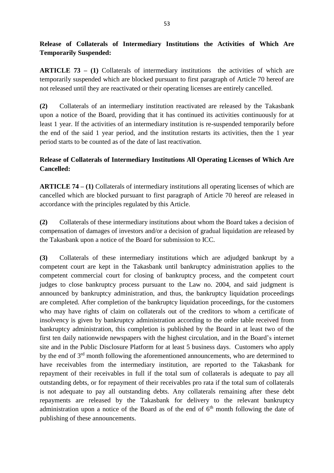# **Release of Collaterals of Intermediary Institutions the Activities of Which Are Temporarily Suspended:**

**ARTICLE 73 – (1)** Collaterals of intermediary institutions the activities of which are temporarily suspended which are blocked pursuant to first paragraph of Article 70 hereof are not released until they are reactivated or their operating licenses are entirely cancelled.

**(2)** Collaterals of an intermediary institution reactivated are released by the Takasbank upon a notice of the Board, providing that it has continued its activities continuously for at least 1 year. If the activities of an intermediary institution is re-suspended temporarily before the end of the said 1 year period, and the institution restarts its activities, then the 1 year period starts to be counted as of the date of last reactivation.

# **Release of Collaterals of Intermediary Institutions All Operating Licenses of Which Are Cancelled:**

**ARTICLE 74 – (1)** Collaterals of intermediary institutions all operating licenses of which are cancelled which are blocked pursuant to first paragraph of Article 70 hereof are released in accordance with the principles regulated by this Article.

**(2)** Collaterals of these intermediary institutions about whom the Board takes a decision of compensation of damages of investors and/or a decision of gradual liquidation are released by the Takasbank upon a notice of the Board for submission to ICC.

**(3)** Collaterals of these intermediary institutions which are adjudged bankrupt by a competent court are kept in the Takasbank until bankruptcy administration applies to the competent commercial court for closing of bankruptcy process, and the competent court judges to close bankruptcy process pursuant to the Law no. 2004, and said judgment is announced by bankruptcy administration, and thus, the bankruptcy liquidation proceedings are completed. After completion of the bankruptcy liquidation proceedings, for the customers who may have rights of claim on collaterals out of the creditors to whom a certificate of insolvency is given by bankruptcy administration according to the order table received from bankruptcy administration, this completion is published by the Board in at least two of the first ten daily nationwide newspapers with the highest circulation, and in the Board's internet site and in the Public Disclosure Platform for at least 5 business days. Customers who apply by the end of 3rd month following the aforementioned announcements, who are determined to have receivables from the intermediary institution, are reported to the Takasbank for repayment of their receivables in full if the total sum of collaterals is adequate to pay all outstanding debts, or for repayment of their receivables pro rata if the total sum of collaterals is not adequate to pay all outstanding debts. Any collaterals remaining after these debt repayments are released by the Takasbank for delivery to the relevant bankruptcy administration upon a notice of the Board as of the end of  $6<sup>th</sup>$  month following the date of publishing of these announcements.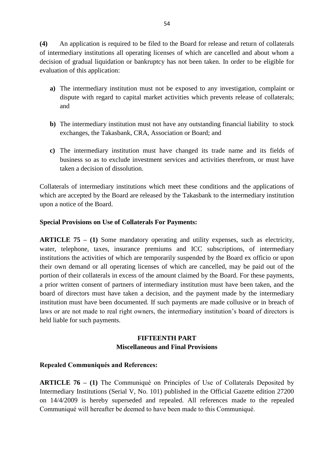**(4)** An application is required to be filed to the Board for release and return of collaterals of intermediary institutions all operating licenses of which are cancelled and about whom a decision of gradual liquidation or bankruptcy has not been taken. In order to be eligible for evaluation of this application:

- **a)** The intermediary institution must not be exposed to any investigation, complaint or dispute with regard to capital market activities which prevents release of collaterals; and
- **b)** The intermediary institution must not have any outstanding financial liability to stock exchanges, the Takasbank, CRA, Association or Board; and
- **c)** The intermediary institution must have changed its trade name and its fields of business so as to exclude investment services and activities therefrom, or must have taken a decision of dissolution.

Collaterals of intermediary institutions which meet these conditions and the applications of which are accepted by the Board are released by the Takasbank to the intermediary institution upon a notice of the Board.

### **Special Provisions on Use of Collaterals For Payments:**

**ARTICLE 75 – (1)** Some mandatory operating and utility expenses, such as electricity, water, telephone, taxes, insurance premiums and ICC subscriptions, of intermediary institutions the activities of which are temporarily suspended by the Board ex officio or upon their own demand or all operating licenses of which are cancelled, may be paid out of the portion of their collaterals in excess of the amount claimed by the Board. For these payments, a prior written consent of partners of intermediary institution must have been taken, and the board of directors must have taken a decision, and the payment made by the intermediary institution must have been documented. If such payments are made collusive or in breach of laws or are not made to real right owners, the intermediary institution's board of directors is held liable for such payments.

### **FIFTEENTH PART Miscellaneous and Final Provisions**

### **Repealed Communiqués and References:**

**ARTICLE 76 – (1)** The Communiqué on Principles of Use of Collaterals Deposited by Intermediary Institutions (Serial V, No. 101) published in the Official Gazette edition 27200 on 14/4/2009 is hereby superseded and repealed. All references made to the repealed Communiqué will hereafter be deemed to have been made to this Communiqué.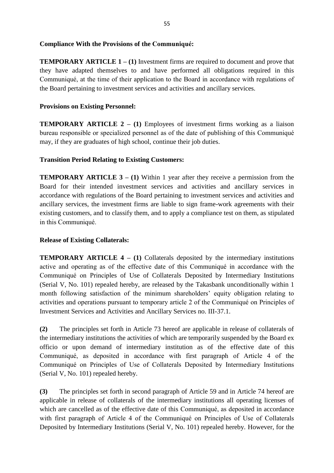#### **Compliance With the Provisions of the Communiqué:**

**TEMPORARY ARTICLE 1 – (1)** Investment firms are required to document and prove that they have adapted themselves to and have performed all obligations required in this Communiqué, at the time of their application to the Board in accordance with regulations of the Board pertaining to investment services and activities and ancillary services.

#### **Provisions on Existing Personnel:**

**TEMPORARY ARTICLE 2 – (1)** Employees of investment firms working as a liaison bureau responsible or specialized personnel as of the date of publishing of this Communiqué may, if they are graduates of high school, continue their job duties.

#### **Transition Period Relating to Existing Customers:**

**TEMPORARY ARTICLE 3 – (1)** Within 1 year after they receive a permission from the Board for their intended investment services and activities and ancillary services in accordance with regulations of the Board pertaining to investment services and activities and ancillary services, the investment firms are liable to sign frame-work agreements with their existing customers, and to classify them, and to apply a compliance test on them, as stipulated in this Communiqué.

#### **Release of Existing Collaterals:**

**TEMPORARY ARTICLE 4 – (1) Collaterals deposited by the intermediary institutions** active and operating as of the effective date of this Communiqué in accordance with the Communiqué on Principles of Use of Collaterals Deposited by Intermediary Institutions (Serial V, No. 101) repealed hereby, are released by the Takasbank unconditionally within 1 month following satisfaction of the minimum shareholders' equity obligation relating to activities and operations pursuant to temporary article 2 of the Communiqué on Principles of Investment Services and Activities and Ancillary Services no. III-37.1.

**(2)** The principles set forth in Article 73 hereof are applicable in release of collaterals of the intermediary institutions the activities of which are temporarily suspended by the Board ex officio or upon demand of intermediary institution as of the effective date of this Communiqué, as deposited in accordance with first paragraph of Article 4 of the Communiqué on Principles of Use of Collaterals Deposited by Intermediary Institutions (Serial V, No. 101) repealed hereby.

**(3)** The principles set forth in second paragraph of Article 59 and in Article 74 hereof are applicable in release of collaterals of the intermediary institutions all operating licenses of which are cancelled as of the effective date of this Communiqué, as deposited in accordance with first paragraph of Article 4 of the Communiqué on Principles of Use of Collaterals Deposited by Intermediary Institutions (Serial V, No. 101) repealed hereby. However, for the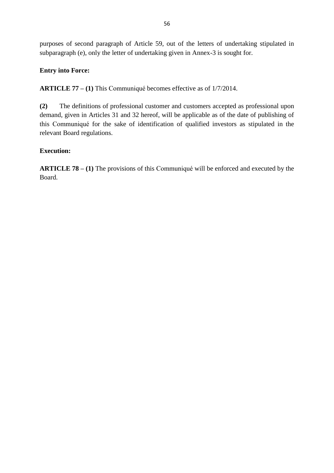purposes of second paragraph of Article 59, out of the letters of undertaking stipulated in subparagraph (e), only the letter of undertaking given in Annex-3 is sought for.

## **Entry into Force:**

**ARTICLE 77 – (1)** This Communiqué becomes effective as of 1/7/2014.

**(2)** The definitions of professional customer and customers accepted as professional upon demand, given in Articles 31 and 32 hereof, will be applicable as of the date of publishing of this Communiqué for the sake of identification of qualified investors as stipulated in the relevant Board regulations.

## **Execution:**

**ARTICLE 78 – (1)** The provisions of this Communiqué will be enforced and executed by the Board.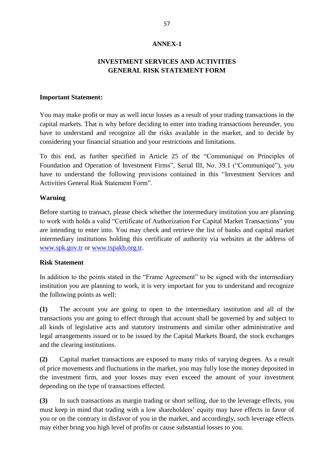#### **ANNEX-1**

### **INVESTMENT SERVICES AND ACTIVITIES GENERAL RISK STATEMENT FORM**

#### **Important Statement:**

You may make profit or may as well incur losses as a result of your trading transactions in the capital markets. That is why before deciding to enter into trading transactions hereunder, you have to understand and recognize all the risks available in the market, and to decide by considering your financial situation and your restrictions and limitations.

To this end, as further specified in Article 25 of the "Communiqué on Principles of Foundation and Operation of Investment Firms", Serial III, No. 39.1 ("Communiqué"), you have to understand the following provisions contained in this "Investment Services and Activities General Risk Statement Form".

#### **Warning**

Before starting to transact, please check whether the intermediary institution you are planning to work with holds a valid "Certificate of Authorization For Capital Market Transactions" you are intending to enter into. You may check and retrieve the list of banks and capital market intermediary institutions holding this certificate of authority via websites at the address of [www.spk.gov.tr](http://www.spk.gov.tr/) or [www.tspakb.org.tr.](http://www.tspakb.org.tr/)

#### **Risk Statement**

In addition to the points stated in the "Frame Agreement" to be signed with the intermediary institution you are planning to work, it is very important for you to understand and recognize the following points as well:

**(1)** The account you are going to open in the intermediary institution and all of the transactions you are going to effect through that account shall be governed by and subject to all kinds of legislative acts and statutory instruments and similar other administrative and legal arrangements issued or to be issued by the Capital Markets Board, the stock exchanges and the clearing institutions.

**(2)** Capital market transactions are exposed to many risks of varying degrees. As a result of price movements and fluctuations in the market, you may fully lose the money deposited in the investment firm, and your losses may even exceed the amount of your investment depending on the type of transactions effected.

**(3)** In such transactions as margin trading or short selling, due to the leverage effects, you must keep in mind that trading with a low shareholders' equity may have effects in favor of you or on the contrary in disfavor of you in the market, and accordingly, such leverage effects may either bring you high level of profits or cause substantial losses to you.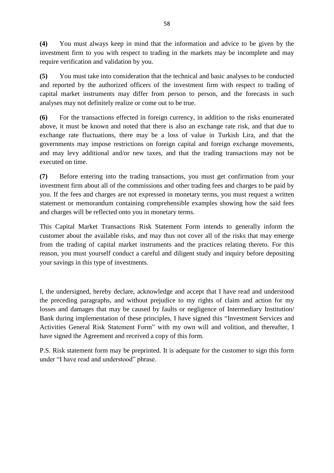**(4)** You must always keep in mind that the information and advice to be given by the investment firm to you with respect to trading in the markets may be incomplete and may require verification and validation by you.

**(5)** You must take into consideration that the technical and basic analyses to be conducted and reported by the authorized officers of the investment firm with respect to trading of capital market instruments may differ from person to person, and the forecasts in such analyses may not definitely realize or come out to be true.

**(6)** For the transactions effected in foreign currency, in addition to the risks enumerated above, it must be known and noted that there is also an exchange rate risk, and that due to exchange rate fluctuations, there may be a loss of value in Turkish Lira, and that the governments may impose restrictions on foreign capital and foreign exchange movements, and may levy additional and/or new taxes, and that the trading transactions may not be executed on time.

**(7)** Before entering into the trading transactions, you must get confirmation from your investment firm about all of the commissions and other trading fees and charges to be paid by you. If the fees and charges are not expressed in monetary terms, you must request a written statement or memorandum containing comprehensible examples showing how the said fees and charges will be reflected onto you in monetary terms.

This Capital Market Transactions Risk Statement Form intends to generally inform the customer about the available risks, and may thus not cover all of the risks that may emerge from the trading of capital market instruments and the practices relating thereto. For this reason, you must yourself conduct a careful and diligent study and inquiry before depositing your savings in this type of investments.

I, the undersigned, hereby declare, acknowledge and accept that I have read and understood the preceding paragraphs, and without prejudice to my rights of claim and action for my losses and damages that may be caused by faults or negligence of Intermediary Institution/ Bank during implementation of these principles, I have signed this "Investment Services and Activities General Risk Statement Form" with my own will and volition, and thereafter, I have signed the Agreement and received a copy of this form.

P.S. Risk statement form may be preprinted. It is adequate for the customer to sign this form under "I have read and understood" phrase.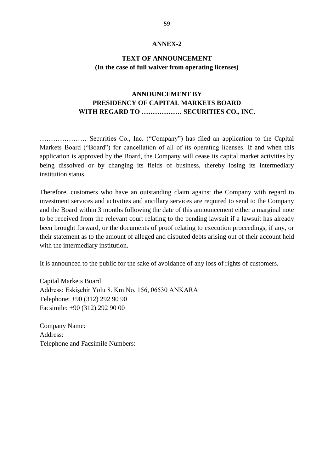#### **ANNEX-2**

### **TEXT OF ANNOUNCEMENT (In the case of full waiver from operating licenses)**

## **ANNOUNCEMENT BY PRESIDENCY OF CAPITAL MARKETS BOARD WITH REGARD TO ……………… SECURITIES CO., INC.**

………………… Securities Co., Inc. ("Company") has filed an application to the Capital Markets Board ("Board") for cancellation of all of its operating licenses. If and when this application is approved by the Board, the Company will cease its capital market activities by being dissolved or by changing its fields of business, thereby losing its intermediary institution status.

Therefore, customers who have an outstanding claim against the Company with regard to investment services and activities and ancillary services are required to send to the Company and the Board within 3 months following the date of this announcement either a marginal note to be received from the relevant court relating to the pending lawsuit if a lawsuit has already been brought forward, or the documents of proof relating to execution proceedings, if any, or their statement as to the amount of alleged and disputed debts arising out of their account held with the intermediary institution.

It is announced to the public for the sake of avoidance of any loss of rights of customers.

Capital Markets Board Address: Eskişehir Yolu 8. Km No. 156, 06530 ANKARA Telephone: +90 (312) 292 90 90 Facsimile: +90 (312) 292 90 00

Company Name: Address: Telephone and Facsimile Numbers: